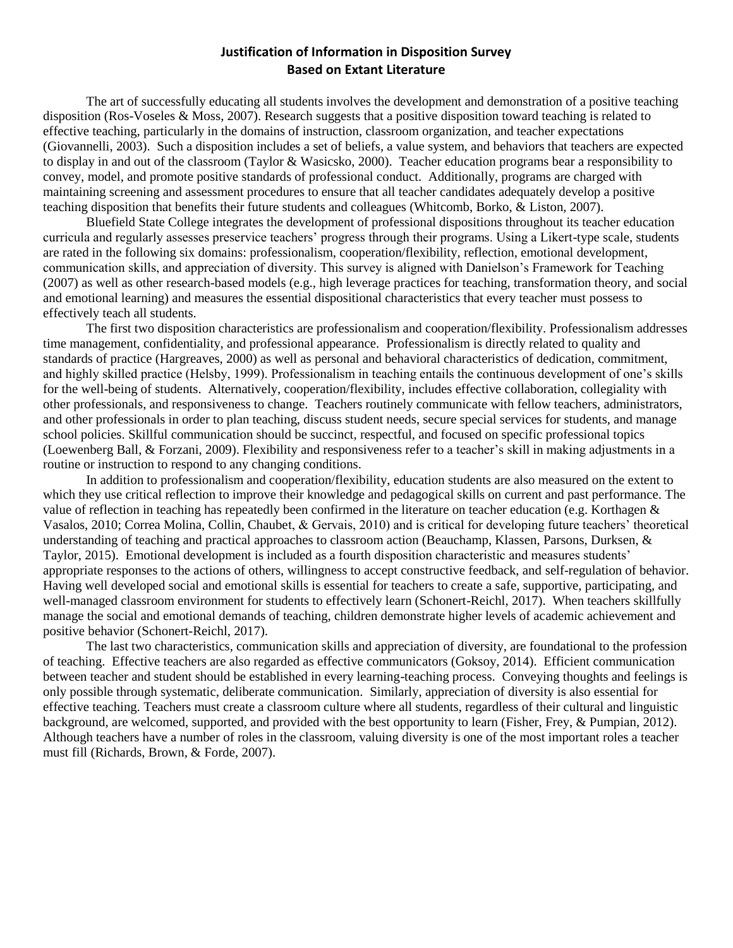#### **Justification of Information in Disposition Survey Based on Extant Literature**

The art of successfully educating all students involves the development and demonstration of a positive teaching disposition (Ros-Voseles & Moss, 2007). Research suggests that a positive disposition toward teaching is related to effective teaching, particularly in the domains of instruction, classroom organization, and teacher expectations (Giovannelli, 2003). Such a disposition includes a set of beliefs, a value system, and behaviors that teachers are expected to display in and out of the classroom (Taylor & Wasicsko, 2000). Teacher education programs bear a responsibility to convey, model, and promote positive standards of professional conduct. Additionally, programs are charged with maintaining screening and assessment procedures to ensure that all teacher candidates adequately develop a positive teaching disposition that benefits their future students and colleagues (Whitcomb, Borko, & Liston, 2007).

Bluefield State College integrates the development of professional dispositions throughout its teacher education curricula and regularly assesses preservice teachers' progress through their programs. Using a Likert-type scale, students are rated in the following six domains: professionalism, cooperation/flexibility, reflection, emotional development, communication skills, and appreciation of diversity. This survey is aligned with Danielson's Framework for Teaching (2007) as well as other research-based models (e.g., high leverage practices for teaching, transformation theory, and social and emotional learning) and measures the essential dispositional characteristics that every teacher must possess to effectively teach all students.

The first two disposition characteristics are professionalism and cooperation/flexibility. Professionalism addresses time management, confidentiality, and professional appearance. Professionalism is directly related to quality and standards of practice (Hargreaves, 2000) as well as personal and behavioral characteristics of dedication, commitment, and highly skilled practice (Helsby, 1999). Professionalism in teaching entails the continuous development of one's skills for the well-being of students. Alternatively, cooperation/flexibility, includes effective collaboration, collegiality with other professionals, and responsiveness to change. Teachers routinely communicate with fellow teachers, administrators, and other professionals in order to plan teaching, discuss student needs, secure special services for students, and manage school policies. Skillful communication should be succinct, respectful, and focused on specific professional topics (Loewenberg Ball, & Forzani, 2009). Flexibility and responsiveness refer to a teacher's skill in making adjustments in a routine or instruction to respond to any changing conditions.

In addition to professionalism and cooperation/flexibility, education students are also measured on the extent to which they use critical reflection to improve their knowledge and pedagogical skills on current and past performance. The value of reflection in teaching has repeatedly been confirmed in the literature on teacher education (e.g. Korthagen & Vasalos, 2010; Correa Molina, Collin, Chaubet, & Gervais, 2010) and is critical for developing future teachers' theoretical understanding of teaching and practical approaches to classroom action (Beauchamp, Klassen, Parsons, Durksen, & Taylor, 2015). Emotional development is included as a fourth disposition characteristic and measures students' appropriate responses to the actions of others, willingness to accept constructive feedback, and self-regulation of behavior. Having well developed social and emotional skills is essential for teachers to create a safe, supportive, participating, and well-managed classroom environment for students to effectively learn (Schonert-Reichl, 2017). When teachers skillfully manage the social and emotional demands of teaching, children demonstrate higher levels of academic achievement and positive behavior (Schonert-Reichl, 2017).

The last two characteristics, communication skills and appreciation of diversity, are foundational to the profession of teaching. Effective teachers are also regarded as effective communicators (Goksoy, 2014). Efficient communication between teacher and student should be established in every learning-teaching process. Conveying thoughts and feelings is only possible through systematic, deliberate communication. Similarly, appreciation of diversity is also essential for effective teaching. Teachers must create a classroom culture where all students, regardless of their cultural and linguistic background, are welcomed, supported, and provided with the best opportunity to learn (Fisher, Frey, & Pumpian, 2012). Although teachers have a number of roles in the classroom, valuing diversity is one of the most important roles a teacher must fill (Richards, Brown, & Forde, 2007).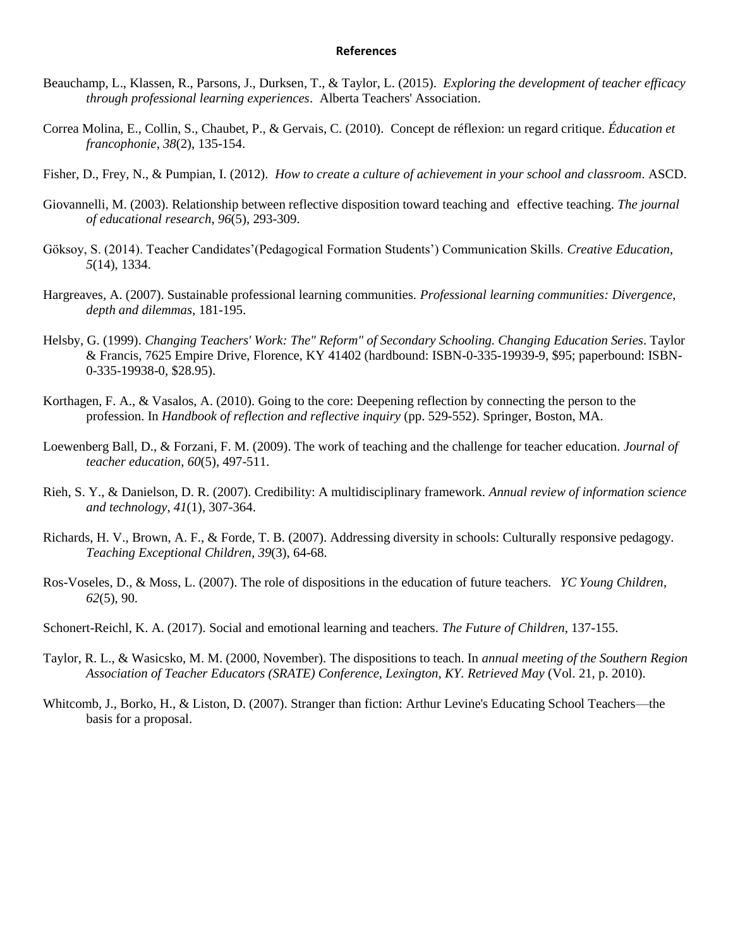#### **References**

- Beauchamp, L., Klassen, R., Parsons, J., Durksen, T., & Taylor, L. (2015). *Exploring the development of teacher efficacy through professional learning experiences*. Alberta Teachers' Association.
- Correa Molina, E., Collin, S., Chaubet, P., & Gervais, C. (2010). Concept de réflexion: un regard critique. *Éducation et francophonie*, *38*(2), 135-154.
- Fisher, D., Frey, N., & Pumpian, I. (2012). *How to create a culture of achievement in your school and classroom*. ASCD.
- Giovannelli, M. (2003). Relationship between reflective disposition toward teaching and effective teaching. *The journal of educational research*, *96*(5), 293-309.
- Göksoy, S. (2014). Teacher Candidates'(Pedagogical Formation Students') Communication Skills. *Creative Education*, *5*(14), 1334.
- Hargreaves, A. (2007). Sustainable professional learning communities. *Professional learning communities: Divergence, depth and dilemmas*, 181-195.
- Helsby, G. (1999). *Changing Teachers' Work: The" Reform" of Secondary Schooling. Changing Education Series*. Taylor & Francis, 7625 Empire Drive, Florence, KY 41402 (hardbound: ISBN-0-335-19939-9, \$95; paperbound: ISBN-0-335-19938-0, \$28.95).
- Korthagen, F. A., & Vasalos, A. (2010). Going to the core: Deepening reflection by connecting the person to the profession. In *Handbook of reflection and reflective inquiry* (pp. 529-552). Springer, Boston, MA.
- Loewenberg Ball, D., & Forzani, F. M. (2009). The work of teaching and the challenge for teacher education. *Journal of teacher education*, *60*(5), 497-511.
- Rieh, S. Y., & Danielson, D. R. (2007). Credibility: A multidisciplinary framework. *Annual review of information science and technology*, *41*(1), 307-364.
- Richards, H. V., Brown, A. F., & Forde, T. B. (2007). Addressing diversity in schools: Culturally responsive pedagogy. *Teaching Exceptional Children*, *39*(3), 64-68.
- Ros-Voseles, D., & Moss, L. (2007). The role of dispositions in the education of future teachers. *YC Young Children*, *62*(5), 90.
- Schonert-Reichl, K. A. (2017). Social and emotional learning and teachers. *The Future of Children*, 137-155.
- Taylor, R. L., & Wasicsko, M. M. (2000, November). The dispositions to teach. In *annual meeting of the Southern Region Association of Teacher Educators (SRATE) Conference, Lexington, KY. Retrieved May* (Vol. 21, p. 2010).
- Whitcomb, J., Borko, H., & Liston, D. (2007). Stranger than fiction: Arthur Levine's Educating School Teachers—the basis for a proposal.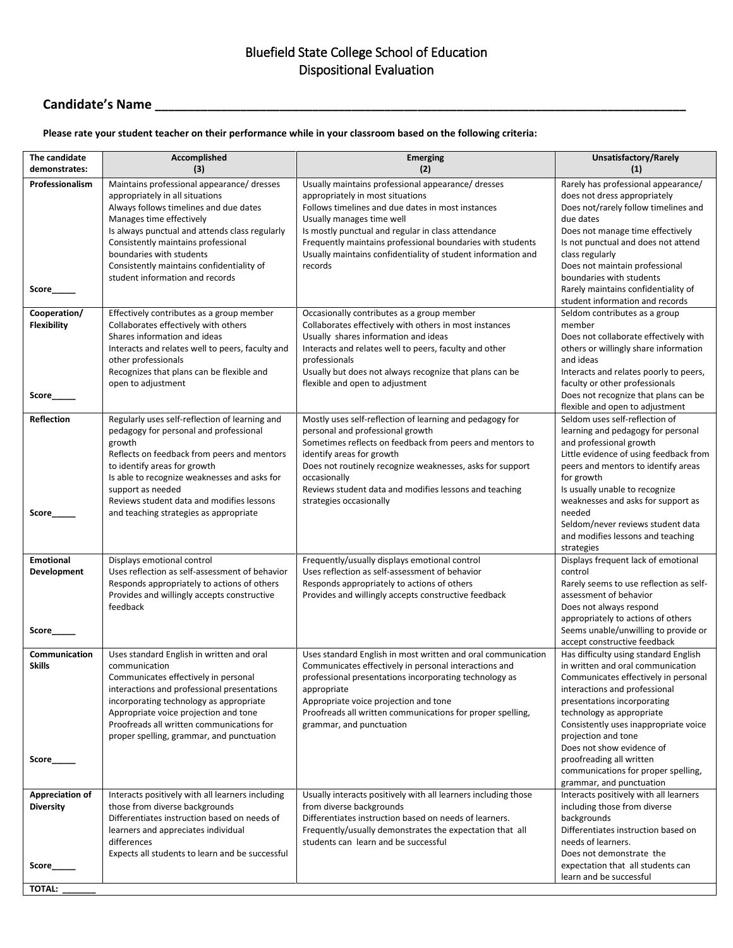### Bluefield State College School of Education Dispositional Evaluation

# **Candidate's Name \_\_\_\_\_\_\_\_\_\_\_\_\_\_\_\_\_\_\_\_\_\_\_\_\_\_\_\_\_\_\_\_\_\_\_\_\_\_\_\_\_\_\_\_\_\_\_\_\_\_\_\_\_\_\_\_\_\_\_\_\_\_\_\_\_\_\_\_\_\_\_\_\_\_\_\_\_\_\_\_\_**

#### **Please rate your student teacher on their performance while in your classroom based on the following criteria:**

| The candidate                                        | Accomplished                                                                                                                                                                                                                                                                                                                                             | <b>Emerging</b>                                                                                                                                                                                                                                                                                                                                                         | Unsatisfactory/Rarely                                                                                                                                                                                                                                                                                                                                                                                       |
|------------------------------------------------------|----------------------------------------------------------------------------------------------------------------------------------------------------------------------------------------------------------------------------------------------------------------------------------------------------------------------------------------------------------|-------------------------------------------------------------------------------------------------------------------------------------------------------------------------------------------------------------------------------------------------------------------------------------------------------------------------------------------------------------------------|-------------------------------------------------------------------------------------------------------------------------------------------------------------------------------------------------------------------------------------------------------------------------------------------------------------------------------------------------------------------------------------------------------------|
| demonstrates:                                        | (3)                                                                                                                                                                                                                                                                                                                                                      | (2)                                                                                                                                                                                                                                                                                                                                                                     | (1)                                                                                                                                                                                                                                                                                                                                                                                                         |
| Professionalism<br>Score                             | Maintains professional appearance/ dresses<br>appropriately in all situations<br>Always follows timelines and due dates<br>Manages time effectively<br>Is always punctual and attends class regularly<br>Consistently maintains professional<br>boundaries with students<br>Consistently maintains confidentiality of<br>student information and records | Usually maintains professional appearance/ dresses<br>appropriately in most situations<br>Follows timelines and due dates in most instances<br>Usually manages time well<br>Is mostly punctual and regular in class attendance<br>Frequently maintains professional boundaries with students<br>Usually maintains confidentiality of student information and<br>records | Rarely has professional appearance/<br>does not dress appropriately<br>Does not/rarely follow timelines and<br>due dates<br>Does not manage time effectively<br>Is not punctual and does not attend<br>class regularly<br>Does not maintain professional<br>boundaries with students<br>Rarely maintains confidentiality of<br>student information and records                                              |
| Cooperation/<br><b>Flexibility</b><br>Score          | Effectively contributes as a group member<br>Collaborates effectively with others<br>Shares information and ideas<br>Interacts and relates well to peers, faculty and<br>other professionals<br>Recognizes that plans can be flexible and<br>open to adjustment                                                                                          | Occasionally contributes as a group member<br>Collaborates effectively with others in most instances<br>Usually shares information and ideas<br>Interacts and relates well to peers, faculty and other<br>professionals<br>Usually but does not always recognize that plans can be<br>flexible and open to adjustment                                                   | Seldom contributes as a group<br>member<br>Does not collaborate effectively with<br>others or willingly share information<br>and ideas<br>Interacts and relates poorly to peers,<br>faculty or other professionals<br>Does not recognize that plans can be                                                                                                                                                  |
| <b>Reflection</b><br>Score                           | Regularly uses self-reflection of learning and<br>pedagogy for personal and professional<br>growth<br>Reflects on feedback from peers and mentors<br>to identify areas for growth<br>Is able to recognize weaknesses and asks for<br>support as needed<br>Reviews student data and modifies lessons<br>and teaching strategies as appropriate            | Mostly uses self-reflection of learning and pedagogy for<br>personal and professional growth<br>Sometimes reflects on feedback from peers and mentors to<br>identify areas for growth<br>Does not routinely recognize weaknesses, asks for support<br>occasionally<br>Reviews student data and modifies lessons and teaching<br>strategies occasionally                 | flexible and open to adjustment<br>Seldom uses self-reflection of<br>learning and pedagogy for personal<br>and professional growth<br>Little evidence of using feedback from<br>peers and mentors to identify areas<br>for growth<br>Is usually unable to recognize<br>weaknesses and asks for support as<br>needed<br>Seldom/never reviews student data<br>and modifies lessons and teaching<br>strategies |
| <b>Emotional</b><br>Development<br>Score             | Displays emotional control<br>Uses reflection as self-assessment of behavior<br>Responds appropriately to actions of others<br>Provides and willingly accepts constructive<br>feedback                                                                                                                                                                   | Frequently/usually displays emotional control<br>Uses reflection as self-assessment of behavior<br>Responds appropriately to actions of others<br>Provides and willingly accepts constructive feedback                                                                                                                                                                  | Displays frequent lack of emotional<br>control<br>Rarely seems to use reflection as self-<br>assessment of behavior<br>Does not always respond<br>appropriately to actions of others<br>Seems unable/unwilling to provide or<br>accept constructive feedback                                                                                                                                                |
| Communication<br><b>Skills</b><br>Score              | Uses standard English in written and oral<br>communication<br>Communicates effectively in personal<br>interactions and professional presentations<br>incorporating technology as appropriate<br>Appropriate voice projection and tone<br>Proofreads all written communications for<br>proper spelling, grammar, and punctuation                          | Uses standard English in most written and oral communication<br>Communicates effectively in personal interactions and<br>professional presentations incorporating technology as<br>appropriate<br>Appropriate voice projection and tone<br>Proofreads all written communications for proper spelling,<br>grammar, and punctuation                                       | Has difficulty using standard English<br>in written and oral communication<br>Communicates effectively in personal<br>interactions and professional<br>presentations incorporating<br>technology as appropriate<br>Consistently uses inappropriate voice<br>projection and tone<br>Does not show evidence of<br>proofreading all written<br>communications for proper spelling,<br>grammar, and punctuation |
| <b>Appreciation of</b><br><b>Diversity</b><br>Score_ | Interacts positively with all learners including<br>those from diverse backgrounds<br>Differentiates instruction based on needs of<br>learners and appreciates individual<br>differences<br>Expects all students to learn and be successful                                                                                                              | Usually interacts positively with all learners including those<br>from diverse backgrounds<br>Differentiates instruction based on needs of learners.<br>Frequently/usually demonstrates the expectation that all<br>students can learn and be successful                                                                                                                | Interacts positively with all learners<br>including those from diverse<br>backgrounds<br>Differentiates instruction based on<br>needs of learners.<br>Does not demonstrate the<br>expectation that all students can<br>learn and be successful                                                                                                                                                              |
| TOTAL:                                               |                                                                                                                                                                                                                                                                                                                                                          |                                                                                                                                                                                                                                                                                                                                                                         |                                                                                                                                                                                                                                                                                                                                                                                                             |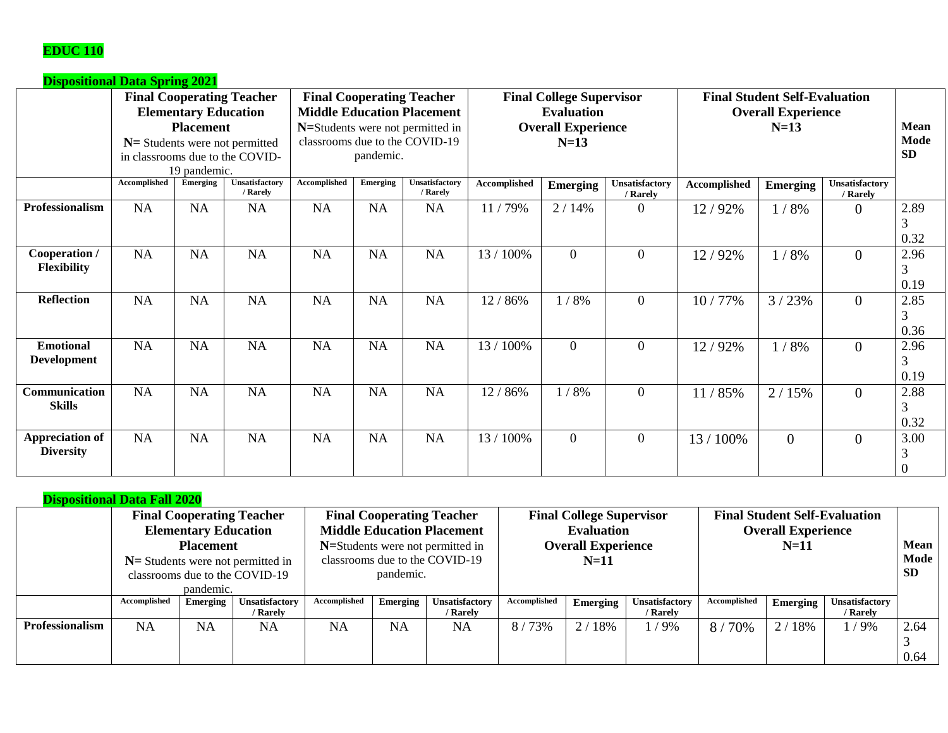## **EDUC 110**

| <b>Dispositional Data Spring 2021</b>      |              |                                                                 |                                                                                                          |              |                 |                                                                                                                                             |                                                                                             |                 |                                                                   |                           |                 |                            |                       |
|--------------------------------------------|--------------|-----------------------------------------------------------------|----------------------------------------------------------------------------------------------------------|--------------|-----------------|---------------------------------------------------------------------------------------------------------------------------------------------|---------------------------------------------------------------------------------------------|-----------------|-------------------------------------------------------------------|---------------------------|-----------------|----------------------------|-----------------------|
|                                            |              | <b>Elementary Education</b><br><b>Placement</b><br>19 pandemic. | <b>Final Cooperating Teacher</b><br>$N =$ Students were not permitted<br>in classrooms due to the COVID- |              | pandemic.       | <b>Final Cooperating Teacher</b><br><b>Middle Education Placement</b><br>N=Students were not permitted in<br>classrooms due to the COVID-19 | <b>Final College Supervisor</b><br><b>Evaluation</b><br><b>Overall Experience</b><br>$N=13$ |                 | <b>Final Student Self-Evaluation</b><br><b>Overall Experience</b> | Mean<br>Mode<br><b>SD</b> |                 |                            |                       |
|                                            | Accomplished | Emerging                                                        | <b>Unsatisfactory</b><br>/ Rarely                                                                        | Accomplished | <b>Emerging</b> | <b>Unsatisfactory</b><br>/ Rarely                                                                                                           | Accomplished                                                                                | <b>Emerging</b> | Unsatisfactory<br>/ Rarely                                        | <b>Accomplished</b>       | <b>Emerging</b> | Unsatisfactory<br>/ Rarely |                       |
| Professionalism                            | NA           | NA                                                              | <b>NA</b>                                                                                                | NA           | NA              | NA                                                                                                                                          | 11/79%                                                                                      | 2/14%           | $\Omega$                                                          | 12/92%                    | 1/8%            | $\overline{0}$             | 2.89<br>3<br>0.32     |
| Cooperation /<br><b>Flexibility</b>        | NA           | NA                                                              | NA                                                                                                       | <b>NA</b>    | NA              | NA                                                                                                                                          | 13 / 100%                                                                                   | $\overline{0}$  | $\overline{0}$                                                    | 12/92%                    | 1/8%            | $\overline{0}$             | 2.96<br>3<br>0.19     |
| <b>Reflection</b>                          | NA           | NA                                                              | NA                                                                                                       | <b>NA</b>    | NA              | NA                                                                                                                                          | 12/<br>86%                                                                                  | 1/8%            | $\overline{0}$                                                    | 10/77%                    | 3/23%           | $\overline{0}$             | 2.85<br>3<br>0.36     |
| <b>Emotional</b><br><b>Development</b>     | NA           | NA                                                              | NA                                                                                                       | NA           | NA              | NA                                                                                                                                          | 13 / 100%                                                                                   | $\Omega$        | $\overline{0}$                                                    | 12/92%                    | 1/8%            | $\overline{0}$             | 2.96<br>3<br>0.19     |
| Communication<br><b>Skills</b>             | NA           | <b>NA</b>                                                       | NA                                                                                                       | NA           | NA              | NA                                                                                                                                          | 12/<br>/86%                                                                                 | 1/8%            | $\overline{0}$                                                    | 11/85%                    | 2/15%           | $\overline{0}$             | 2.88<br>3<br>0.32     |
| <b>Appreciation of</b><br><b>Diversity</b> | NA           | NA                                                              | NA                                                                                                       | <b>NA</b>    | <b>NA</b>       | NA                                                                                                                                          | 13 / 100%                                                                                   | $\overline{0}$  | $\overline{0}$                                                    | 13 / 100%                 | $\overline{0}$  | $\overline{0}$             | 3.00<br>3<br>$\theta$ |

|                        |              |                             | <b>Final Cooperating Teacher</b>    |                                   |                                  | <b>Final Cooperating Teacher</b> | <b>Final College Supervisor</b> |          |                       | <b>Final Student Self-Evaluation</b> |             |                       |      |
|------------------------|--------------|-----------------------------|-------------------------------------|-----------------------------------|----------------------------------|----------------------------------|---------------------------------|----------|-----------------------|--------------------------------------|-------------|-----------------------|------|
|                        |              | <b>Elementary Education</b> |                                     | <b>Middle Education Placement</b> |                                  |                                  | <b>Evaluation</b>               |          |                       | <b>Overall Experience</b>            |             |                       |      |
|                        |              | <b>Placement</b>            |                                     |                                   | N=Students were not permitted in |                                  | <b>Overall Experience</b>       |          |                       |                                      | <b>Mean</b> |                       |      |
|                        |              |                             | $N=$ Students were not permitted in |                                   |                                  | classrooms due to the COVID-19   | $N=11$                          |          |                       |                                      |             | Mode                  |      |
|                        |              |                             | classrooms due to the COVID-19      | pandemic.                         |                                  |                                  |                                 |          |                       | <b>SD</b>                            |             |                       |      |
|                        |              | pandemic.                   |                                     |                                   |                                  |                                  |                                 |          |                       |                                      |             |                       |      |
|                        | Accomplished | Emerging                    | Unsatisfactory                      | Accomplished                      | Emerging                         | Unsatisfactory                   | Accomplished                    | Emerging | <b>Unsatisfactory</b> | Accomplished                         | Emerging    | <b>Unsatisfactory</b> |      |
|                        |              |                             | / Rarely                            |                                   |                                  | / Rarely                         |                                 |          | / Rarely              |                                      |             | / Rarely              |      |
| <b>Professionalism</b> | <b>NA</b>    | <b>NA</b>                   | <b>NA</b>                           | NA                                | <b>NA</b>                        | <b>NA</b>                        | 8/73%                           | 2/18%    | $1/9\%$               | 8/70%                                | 2/18%       | 1/9%                  | 2.64 |
|                        |              |                             |                                     |                                   |                                  |                                  |                                 |          |                       |                                      |             |                       |      |
|                        |              |                             |                                     |                                   |                                  |                                  |                                 |          |                       |                                      |             |                       | 0.64 |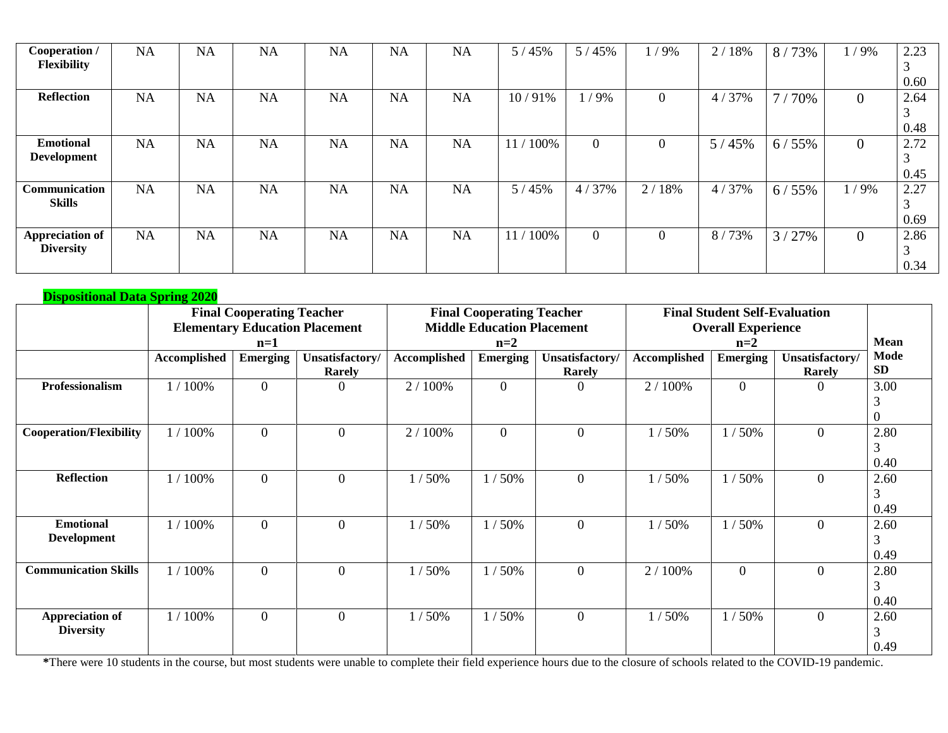| Cooperation /<br><b>Flexibility</b> | <b>NA</b> | <b>NA</b> | NA | <b>NA</b> | <b>NA</b> | <b>NA</b> | 5/45%                   | 5/45%        | $/9\%$         | 18%<br>2/ | 8/73% | /9%            | 2.23<br>$\sim$ |
|-------------------------------------|-----------|-----------|----|-----------|-----------|-----------|-------------------------|--------------|----------------|-----------|-------|----------------|----------------|
|                                     |           |           |    |           |           |           |                         |              |                |           |       |                | 0.60           |
| <b>Reflection</b>                   | <b>NA</b> | <b>NA</b> | NA | <b>NA</b> | <b>NA</b> | <b>NA</b> | 10/91%                  | 1/9%         | $\overline{0}$ | 4/37%     | 7/70% | $\overline{0}$ | 2.64           |
|                                     |           |           |    |           |           |           |                         |              |                |           |       |                | 3              |
|                                     |           |           |    |           |           |           |                         |              |                |           |       |                | 0.48           |
| <b>Emotional</b>                    | <b>NA</b> | <b>NA</b> | NA | <b>NA</b> | <b>NA</b> | <b>NA</b> | 100%<br>11 <sub>l</sub> | $\mathbf{0}$ | $\overline{0}$ | 5/45%     | 6/55% | $\mathbf{0}$   | 2.72           |
| <b>Development</b>                  |           |           |    |           |           |           |                         |              |                |           |       |                | 3              |
|                                     |           |           |    |           |           |           |                         |              |                |           |       |                | 0.45           |
| Communication                       | <b>NA</b> | <b>NA</b> | NA | <b>NA</b> | <b>NA</b> | <b>NA</b> | 5/45%                   | 4/37%        | 2/18%          | 4/37%     | 6/55% | 1/9%           | 2.27           |
| <b>Skills</b>                       |           |           |    |           |           |           |                         |              |                |           |       |                | $\sim$         |
|                                     |           |           |    |           |           |           |                         |              |                |           |       |                | 0.69           |
| <b>Appreciation of</b>              | <b>NA</b> | <b>NA</b> | NA | <b>NA</b> | <b>NA</b> | <b>NA</b> | 11 <sub>1</sub><br>100% | $\mathbf{0}$ | $\mathbf{0}$   | 8/73%     | 3/27% | $\mathbf{0}$   | 2.86           |
| <b>Diversity</b>                    |           |           |    |           |           |           |                         |              |                |           |       |                | 3              |
|                                     |           |           |    |           |           |           |                         |              |                |           |       |                | 0.34           |

| <b>Dispositional Data Spring 2020</b>      |              |                                  |                                       |                     |                                   |                                  |                     |                                      |                                  |                             |
|--------------------------------------------|--------------|----------------------------------|---------------------------------------|---------------------|-----------------------------------|----------------------------------|---------------------|--------------------------------------|----------------------------------|-----------------------------|
|                                            |              | <b>Final Cooperating Teacher</b> |                                       |                     | <b>Final Cooperating Teacher</b>  |                                  |                     | <b>Final Student Self-Evaluation</b> |                                  |                             |
|                                            |              |                                  | <b>Elementary Education Placement</b> |                     | <b>Middle Education Placement</b> |                                  |                     | <b>Overall Experience</b><br>$n=2$   |                                  |                             |
|                                            |              | $n=1$                            |                                       | $n=2$               |                                   |                                  |                     | <b>Mean</b>                          |                                  |                             |
|                                            | Accomplished | <b>Emerging</b>                  | Unsatisfactory/<br><b>Rarely</b>      | <b>Accomplished</b> | <b>Emerging</b>                   | Unsatisfactory/<br><b>Rarely</b> | <b>Accomplished</b> | <b>Emerging</b>                      | Unsatisfactory/<br><b>Rarely</b> | <b>Mode</b><br><b>SD</b>    |
| Professionalism                            | 1 / 100%     | $\overline{0}$                   | $\theta$                              | 2 / 100%            | $\overline{0}$                    | $\theta$                         | 2 / 100%            | $\overline{0}$                       | $\Omega$                         | 3.00<br>3<br>$\overline{0}$ |
| <b>Cooperation/Flexibility</b>             | 1 / 100%     | $\overline{0}$                   | $\overline{0}$                        | 2 / 100%            | $\overline{0}$                    | $\overline{0}$                   | 1/50%               | 1/50%                                | $\theta$                         | 2.80<br>3<br>0.40           |
| <b>Reflection</b>                          | 1/100%       | $\overline{0}$                   | $\overline{0}$                        | 50%                 | 50%                               | $\overline{0}$                   | 1/50%               | 1/50%                                | $\Omega$                         | 2.60<br>3<br>0.49           |
| <b>Emotional</b><br><b>Development</b>     | 1/100%       | $\overline{0}$                   | $\overline{0}$                        | 1/50%               | 50%                               | $\overline{0}$                   | 1/50%               | 1/50%                                | $\theta$                         | 2.60<br>3<br>0.49           |
| <b>Communication Skills</b>                | 1/100%       | $\overline{0}$                   | $\mathbf{0}$                          | 1/50%               | 150%                              | $\mathbf{0}$                     | 2 / 100%            | $\overline{0}$                       | $\overline{0}$                   | 2.80<br>3<br>0.40           |
| <b>Appreciation of</b><br><b>Diversity</b> | 1 / 100%     | $\overline{0}$                   | $\overline{0}$                        | 1/50%               | 150%                              | $\overline{0}$                   | 1/50%               | 1/50%                                | $\overline{0}$                   | 2.60<br>3<br>0.49           |

**\***There were 10 students in the course, but most students were unable to complete their field experience hours due to the closure of schools related to the COVID-19 pandemic.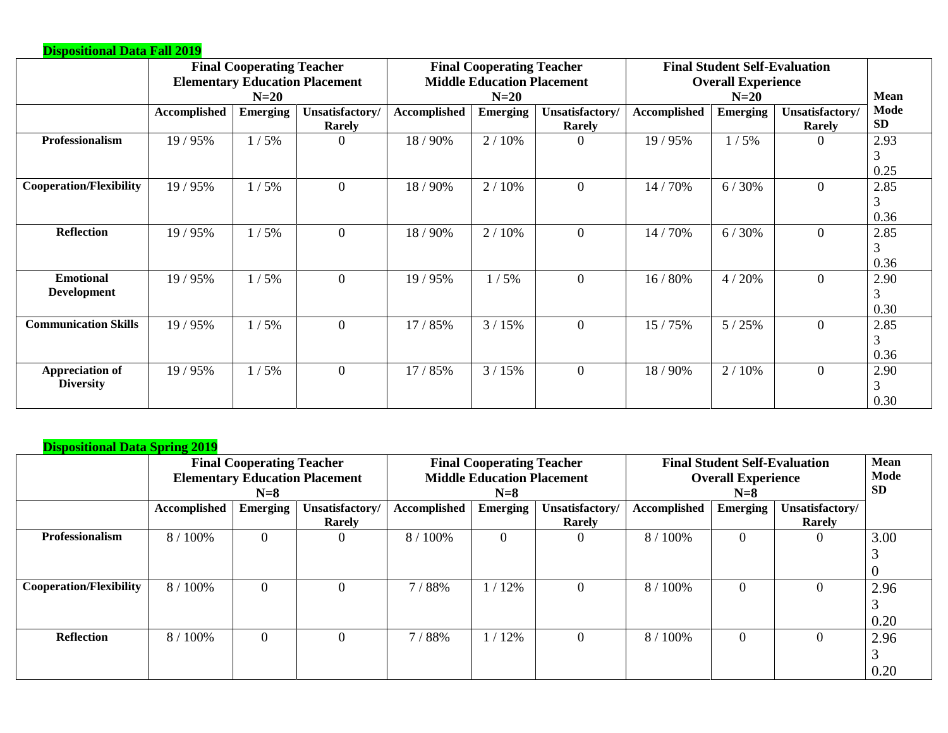| <b>Dispositional Data Fall 2019</b>        |              |                                  |                                       |                                   |                                  |                           |                           |                                      |                                  |                   |  |
|--------------------------------------------|--------------|----------------------------------|---------------------------------------|-----------------------------------|----------------------------------|---------------------------|---------------------------|--------------------------------------|----------------------------------|-------------------|--|
|                                            |              | <b>Final Cooperating Teacher</b> |                                       |                                   | <b>Final Cooperating Teacher</b> |                           |                           | <b>Final Student Self-Evaluation</b> |                                  |                   |  |
|                                            |              |                                  | <b>Elementary Education Placement</b> | <b>Middle Education Placement</b> |                                  |                           | <b>Overall Experience</b> | <b>Mean</b>                          |                                  |                   |  |
|                                            |              | $N=20$                           |                                       |                                   | $N=20$                           |                           |                           | $N=20$                               |                                  |                   |  |
|                                            | Accomplished | <b>Emerging</b>                  | Unsatisfactory/<br>Rarely             | <b>Accomplished</b>               | <b>Emerging</b>                  | Unsatisfactory/<br>Rarely | <b>Accomplished</b>       | <b>Emerging</b>                      | Unsatisfactory/<br><b>Rarely</b> | Mode<br><b>SD</b> |  |
| Professionalism                            | 19 / 95%     | 1/5%                             | $\theta$                              | 18 / 90%                          | 2/10%                            | $\Omega$                  | 19/95%                    | 1/5%                                 | $\theta$                         | 2.93<br>3<br>0.25 |  |
| <b>Cooperation/Flexibility</b>             | 19/95%       | 1/5%                             | $\boldsymbol{0}$                      | 18/90%                            | 2/10%                            | $\mathbf{0}$              | 14 / 70%                  | 6/30%                                | $\overline{0}$                   | 2.85<br>3<br>0.36 |  |
| <b>Reflection</b>                          | 19/95%       | 1/5%                             | $\overline{0}$                        | 18 / 90%                          | 2/10%                            | $\overline{0}$            | 14 / 70%                  | 6/30%                                | $\overline{0}$                   | 2.85<br>3<br>0.36 |  |
| <b>Emotional</b><br><b>Development</b>     | 19/95%       | 1/5%                             | $\theta$                              | 19/95%                            | /5%                              | $\overline{0}$            | 16 / 80%                  | 4/20%                                | $\theta$                         | 2.90<br>3<br>0.30 |  |
| <b>Communication Skills</b>                | 19/95%       | 1/5%                             | $\overline{0}$                        | 17 / 85%                          | 3/15%                            | $\overline{0}$            | 15 / 75%                  | 5/25%                                | $\theta$                         | 2.85<br>3<br>0.36 |  |
| <b>Appreciation of</b><br><b>Diversity</b> | 19/95%       | 1/5%                             | $\overline{0}$                        | 17 / 85%                          | 3/15%                            | $\overline{0}$            | 18/90%                    | 2/10%                                | $\theta$                         | 2.90<br>3<br>0.30 |  |

|                                | <b>Final Cooperating Teacher</b><br><b>Elementary Education Placement</b><br>$N=8$ |                 |                           | <b>Final Cooperating Teacher</b><br><b>Middle Education Placement</b><br>$N=8$ |                 |                           | <b>Final Student Self-Evaluation</b><br><b>Overall Experience</b> | <b>Mean</b><br>Mode<br><b>SD</b> |                                  |              |
|--------------------------------|------------------------------------------------------------------------------------|-----------------|---------------------------|--------------------------------------------------------------------------------|-----------------|---------------------------|-------------------------------------------------------------------|----------------------------------|----------------------------------|--------------|
|                                | <b>Accomplished</b>                                                                | <b>Emerging</b> | Unsatisfactory/<br>Rarely | Accomplished                                                                   | <b>Emerging</b> | Unsatisfactory/<br>Rarely | Accomplished                                                      | <b>Emerging</b>                  | Unsatisfactory/<br><b>Rarely</b> |              |
| Professionalism                | 8 / 100%                                                                           | $\theta$        | $\Omega$                  | 8 / 100%                                                                       | $\overline{0}$  | 0                         | 8 / 100%                                                          | $\theta$                         | $\theta$                         | 3.00         |
| <b>Cooperation/Flexibility</b> | 8 / 100%                                                                           | $\theta$        | $\Omega$                  | 7/88%                                                                          | 12%             | 0                         | 8 / 100%                                                          | $\Omega$                         |                                  | 2.96<br>0.20 |
| <b>Reflection</b>              | 8 / 100%                                                                           | $\theta$        | $\Omega$                  | 7/88%                                                                          | /12%            | $\Omega$                  | 8 / 100%                                                          | $\theta$                         |                                  | 2.96<br>0.20 |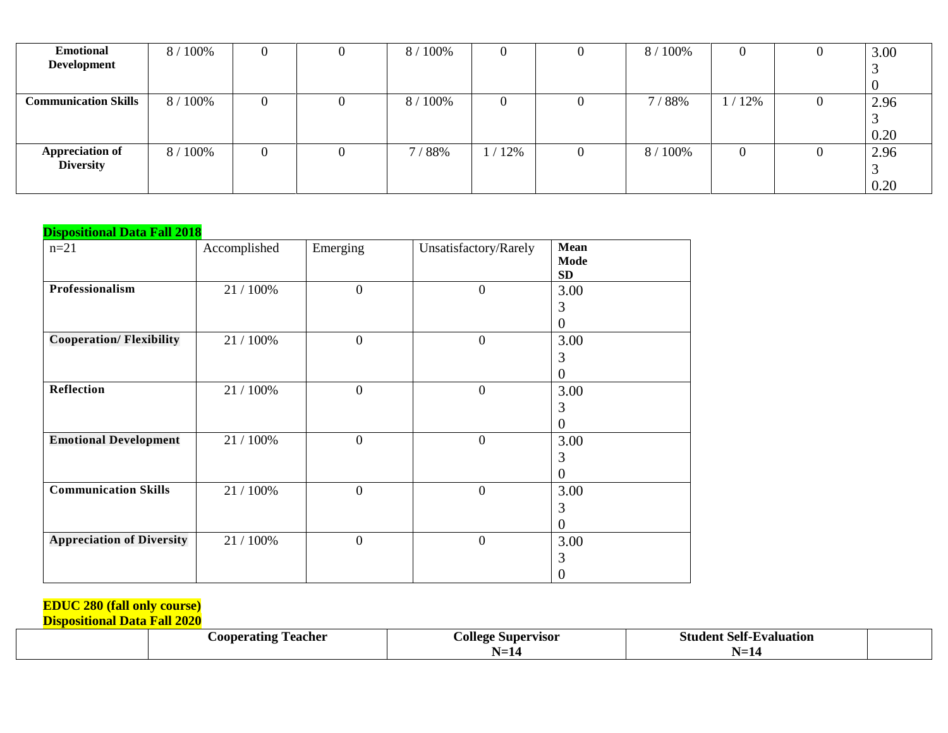| <b>Emotional</b>                    | 8 / 100% | U | U        | 100%<br>8/            | 0   | v | 8 / 100% |       | 3.00 |
|-------------------------------------|----------|---|----------|-----------------------|-----|---|----------|-------|------|
| Development                         |          |   |          |                       |     |   |          |       |      |
|                                     |          |   |          |                       |     |   |          |       |      |
| <b>Communication Skills</b>         | 8 / 100% | 0 | $\theta$ | 100%<br>8/            | 0   | v | 1/88%    | 1/12% | 2.96 |
|                                     |          |   |          |                       |     |   |          |       |      |
|                                     |          |   |          |                       |     |   |          |       | 0.20 |
| <b>Appreciation of</b><br>Diversity | 8 / 100% | 0 | $\theta$ | 7 <sub>1</sub><br>88% | 12% | 0 | 8 / 100% |       | 2.96 |
|                                     |          |   |          |                       |     |   |          |       | J    |
|                                     |          |   |          |                       |     |   |          |       | 0.20 |

| <b>Dispositional Data Fall 2018</b> |              |                  |                       |                                         |  |  |  |  |  |  |
|-------------------------------------|--------------|------------------|-----------------------|-----------------------------------------|--|--|--|--|--|--|
| $n=21$                              | Accomplished | Emerging         | Unsatisfactory/Rarely | <b>Mean</b><br><b>Mode</b><br><b>SD</b> |  |  |  |  |  |  |
| Professionalism                     | 21 / 100%    | $\boldsymbol{0}$ | $\theta$              | 3.00<br>3<br>$\theta$                   |  |  |  |  |  |  |
| <b>Cooperation/Flexibility</b>      | 21 / 100%    | $\mathbf{0}$     | $\boldsymbol{0}$      | 3.00<br>3<br>$\Omega$                   |  |  |  |  |  |  |
| Reflection                          | 21 / 100%    | $\overline{0}$   | $\overline{0}$        | 3.00<br>3<br>$\theta$                   |  |  |  |  |  |  |
| <b>Emotional Development</b>        | 21 / 100%    | $\boldsymbol{0}$ | $\boldsymbol{0}$      | 3.00<br>3<br>$\theta$                   |  |  |  |  |  |  |
| <b>Communication Skills</b>         | 21 / 100%    | $\boldsymbol{0}$ | $\boldsymbol{0}$      | 3.00<br>3<br>$\theta$                   |  |  |  |  |  |  |
| <b>Appreciation of Diversity</b>    | 21 / 100%    | $\overline{0}$   | $\overline{0}$        | 3.00<br>3<br>$\theta$                   |  |  |  |  |  |  |

#### **EDUC 280 (fall only course)**

| Teacher<br>A00D6<br>eratıng<br>. . | Supervisor<br>olle<br>. . | Selt-<br>tvaluation<br>Student |  |
|------------------------------------|---------------------------|--------------------------------|--|
|                                    |                           |                                |  |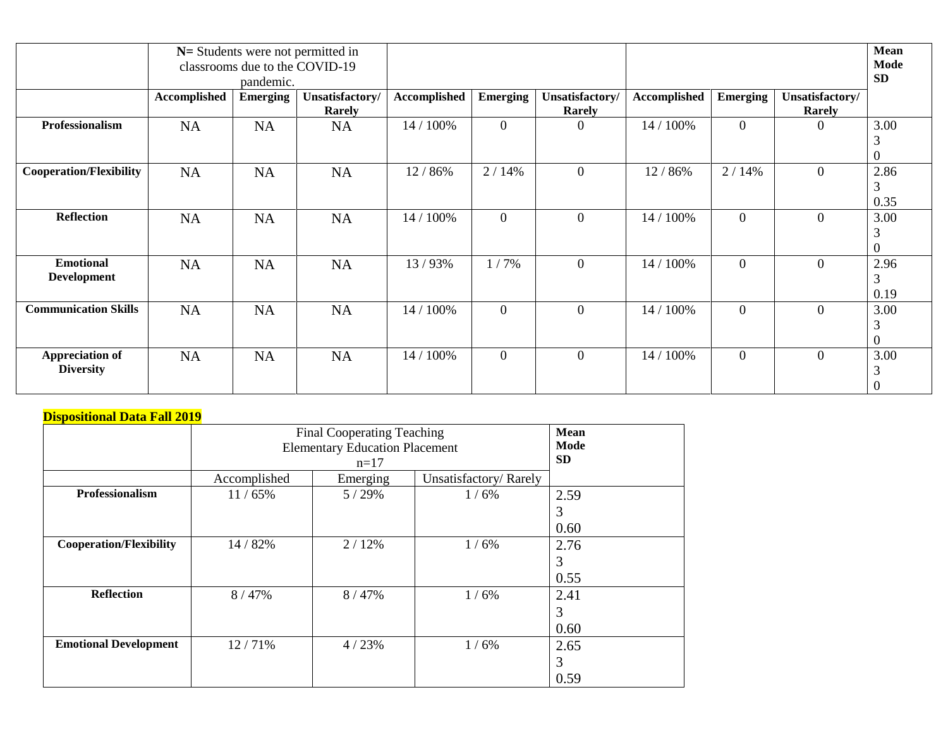|                                            |                     | pandemic.       | $N =$ Students were not permitted in<br>classrooms due to the COVID-19 |              |                 |                           |                     |                 |                           | Mean<br>Mode<br><b>SD</b>   |
|--------------------------------------------|---------------------|-----------------|------------------------------------------------------------------------|--------------|-----------------|---------------------------|---------------------|-----------------|---------------------------|-----------------------------|
|                                            | <b>Accomplished</b> | <b>Emerging</b> | Unsatisfactory/<br>Rarely                                              | Accomplished | <b>Emerging</b> | Unsatisfactory/<br>Rarely | <b>Accomplished</b> | <b>Emerging</b> | Unsatisfactory/<br>Rarely |                             |
| Professionalism                            | <b>NA</b>           | <b>NA</b>       | <b>NA</b>                                                              | 14 / 100%    | $\mathbf{0}$    | $\theta$                  | 14 / 100%           | $\overline{0}$  | $\theta$                  | 3.00<br>3<br>$\theta$       |
| <b>Cooperation/Flexibility</b>             | <b>NA</b>           | <b>NA</b>       | NA                                                                     | 12 / 86%     | 2/14%           | $\overline{0}$            | 12 / 86%            | 2/14%           | $\overline{0}$            | 2.86<br>3<br>0.35           |
| <b>Reflection</b>                          | <b>NA</b>           | <b>NA</b>       | <b>NA</b>                                                              | 14 / 100%    | $\overline{0}$  | $\overline{0}$            | 14 / 100%           | $\overline{0}$  | $\mathbf{0}$              | 3.00<br>3<br>$\theta$       |
| <b>Emotional</b><br><b>Development</b>     | <b>NA</b>           | NA              | NA                                                                     | 13/93%       | 1/7%            | $\mathbf{0}$              | 14 / 100%           | $\overline{0}$  | $\overline{0}$            | 2.96<br>3<br>0.19           |
| <b>Communication Skills</b>                | <b>NA</b>           | <b>NA</b>       | <b>NA</b>                                                              | 14 / 100%    | $\overline{0}$  | $\overline{0}$            | 14 / 100%           | $\overline{0}$  | $\overline{0}$            | 3.00<br>3<br>$\overline{0}$ |
| <b>Appreciation of</b><br><b>Diversity</b> | NA                  | NA              | NA                                                                     | 14 / 100%    | $\overline{0}$  | $\overline{0}$            | 14 / 100%           | $\overline{0}$  | $\overline{0}$            | 3.00<br>3<br>$\overline{0}$ |

|                                | <b>Final Cooperating Teaching</b><br><b>Elementary Education Placement</b> | Mean<br>Mode<br><b>SD</b> |                       |      |
|--------------------------------|----------------------------------------------------------------------------|---------------------------|-----------------------|------|
|                                | Accomplished                                                               | Emerging                  | Unsatisfactory/Rarely |      |
| Professionalism                | 11/65%                                                                     | 5/29%                     | 1/6%                  | 2.59 |
|                                |                                                                            |                           |                       | 3    |
|                                |                                                                            |                           |                       | 0.60 |
| <b>Cooperation/Flexibility</b> | 14 / 82%                                                                   | 2/12%                     | 1/6%                  | 2.76 |
|                                |                                                                            |                           |                       | 3    |
|                                |                                                                            |                           |                       | 0.55 |
| <b>Reflection</b>              | 8/47%                                                                      | 8/47%                     | 1/6%                  | 2.41 |
|                                |                                                                            |                           |                       | 3    |
|                                |                                                                            |                           |                       | 0.60 |
| <b>Emotional Development</b>   | 12/71%                                                                     | 4/23%                     | 1/6%                  | 2.65 |
|                                |                                                                            |                           |                       | 3    |
|                                |                                                                            |                           |                       | 0.59 |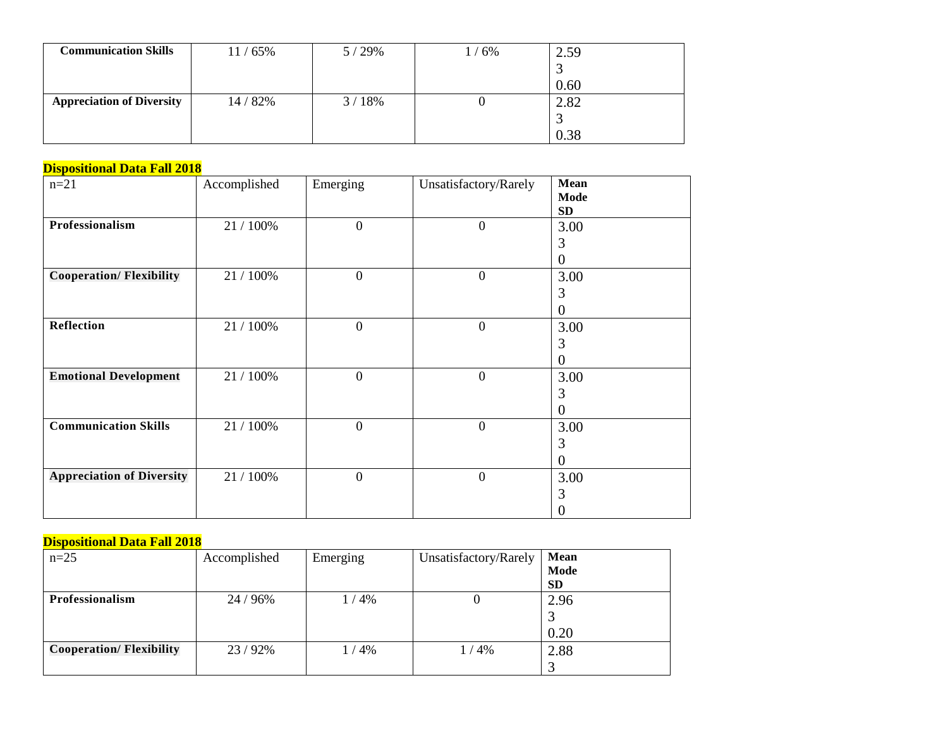| <b>Communication Skills</b>      | /65%<br>11 / | 29%<br>5 / | 6% | 2.59 |
|----------------------------------|--------------|------------|----|------|
|                                  |              |            |    |      |
|                                  |              |            |    | 0.60 |
| <b>Appreciation of Diversity</b> | 14 / 82%     | 18%<br>3/  |    | 2.82 |
|                                  |              |            |    |      |
|                                  |              |            |    | 0.38 |

| $n = 21$                         | Accomplished | Emerging         | Unsatisfactory/Rarely | Mean<br>Mode                  |
|----------------------------------|--------------|------------------|-----------------------|-------------------------------|
| Professionalism                  | 21 / 100%    | $\overline{0}$   | $\overline{0}$        | SD<br>3.00<br>3               |
| <b>Cooperation/Flexibility</b>   | 21 / 100%    | $\boldsymbol{0}$ | $\boldsymbol{0}$      | $\boldsymbol{0}$<br>3.00      |
|                                  |              |                  |                       | 3<br>0                        |
| Reflection                       | 21 / 100%    | $\overline{0}$   | $\overline{0}$        | 3.00<br>3<br>$\boldsymbol{0}$ |
| <b>Emotional Development</b>     | 21 / 100%    | $\mathbf{0}$     | $\overline{0}$        | 3.00<br>3<br>$\overline{0}$   |
| <b>Communication Skills</b>      | 21 / 100%    | $\mathbf{0}$     | $\overline{0}$        | 3.00<br>3<br>$\boldsymbol{0}$ |
| <b>Appreciation of Diversity</b> | 21 / 100%    | $\overline{0}$   | $\overline{0}$        | 3.00<br>3<br>$\boldsymbol{0}$ |

| $n=25$                         | Accomplished | Emerging | Unsatisfactory/Rarely | <b>Mean</b> |
|--------------------------------|--------------|----------|-----------------------|-------------|
|                                |              |          |                       | <b>Mode</b> |
|                                |              |          |                       | <b>SD</b>   |
| <b>Professionalism</b>         | 24 / 96%     | 1/4%     |                       | 2.96        |
|                                |              |          |                       |             |
|                                |              |          |                       | 0.20        |
| <b>Cooperation/Flexibility</b> | 23/92%       | 1 / 4%   | 1 / 4%                | 2.88        |
|                                |              |          |                       |             |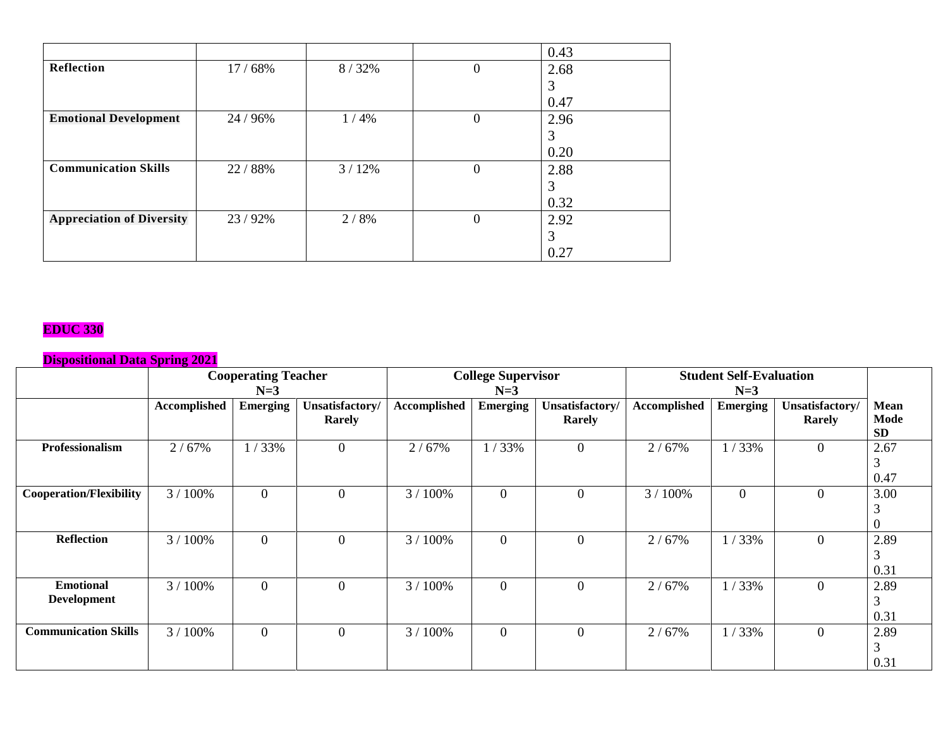|                                  |          |       |          | 0.43 |
|----------------------------------|----------|-------|----------|------|
| Reflection                       | 17/68%   | 8/32% | 0        | 2.68 |
|                                  |          |       |          | 3    |
|                                  |          |       |          | 0.47 |
| <b>Emotional Development</b>     | 24 / 96% | 1/4%  | $\theta$ | 2.96 |
|                                  |          |       |          | 3    |
|                                  |          |       |          | 0.20 |
| <b>Communication Skills</b>      | 22 / 88% | 3/12% | $\Omega$ | 2.88 |
|                                  |          |       |          | 3    |
|                                  |          |       |          | 0.32 |
| <b>Appreciation of Diversity</b> | 23/92%   | 2/8%  | 0        | 2.92 |
|                                  |          |       |          | 3    |
|                                  |          |       |          | 0.27 |

### **EDUC 330**

|                                | <b>Cooperating Teacher</b> |                |                  |              | <b>College Supervisor</b> |                  |              | <b>Student Self-Evaluation</b> |                 |           |
|--------------------------------|----------------------------|----------------|------------------|--------------|---------------------------|------------------|--------------|--------------------------------|-----------------|-----------|
|                                |                            | $N=3$          |                  | $N=3$        |                           |                  |              | $N=3$                          |                 |           |
|                                | Accomplished               | Emerging       | Unsatisfactory/  | Accomplished | Emerging                  | Unsatisfactory/  | Accomplished | <b>Emerging</b>                | Unsatisfactory/ | Mean      |
|                                |                            |                | Rarely           |              |                           | <b>Rarely</b>    |              |                                | Rarely          | Mode      |
|                                |                            |                |                  |              |                           |                  |              |                                |                 | <b>SD</b> |
| <b>Professionalism</b>         | 2/67%                      | 1/33%          | $\boldsymbol{0}$ | 2/67%        | 1/33%                     | $\mathbf{0}$     | 2/67%        | 1/33%                          | $\mathbf{0}$    | 2.67      |
|                                |                            |                |                  |              |                           |                  |              |                                |                 | 3         |
|                                |                            |                |                  |              |                           |                  |              |                                |                 | 0.47      |
| <b>Cooperation/Flexibility</b> | 3/100%                     | $\overline{0}$ | $\mathbf{0}$     | 3 / 100%     | $\overline{0}$            | $\boldsymbol{0}$ | 3 / 100%     | 0                              | $\theta$        | 3.00      |
|                                |                            |                |                  |              |                           |                  |              |                                |                 |           |
|                                |                            |                |                  |              |                           |                  |              |                                |                 |           |
| <b>Reflection</b>              | 3/100%                     | $\overline{0}$ | $\overline{0}$   | 3/100%       | $\overline{0}$            | $\overline{0}$   | 2/67%        | 1/33%                          | $\overline{0}$  | 2.89      |
|                                |                            |                |                  |              |                           |                  |              |                                |                 | 3         |
|                                |                            |                |                  |              |                           |                  |              |                                |                 | 0.31      |
| <b>Emotional</b>               | 3/100%                     | $\overline{0}$ | $\overline{0}$   | 3/100%       | $\theta$                  | $\theta$         | 2/67%        | 1/33%                          | $\overline{0}$  | 2.89      |
| <b>Development</b>             |                            |                |                  |              |                           |                  |              |                                |                 | 3         |
|                                |                            |                |                  |              |                           |                  |              |                                |                 | 0.31      |
| <b>Communication Skills</b>    | 3/100%                     | $\overline{0}$ | $\mathbf{0}$     | 3/100%       | $\overline{0}$            | $\theta$         | 2/67%        | 1/33%                          | $\mathbf{0}$    | 2.89      |
|                                |                            |                |                  |              |                           |                  |              |                                |                 | 3         |
|                                |                            |                |                  |              |                           |                  |              |                                |                 | 0.31      |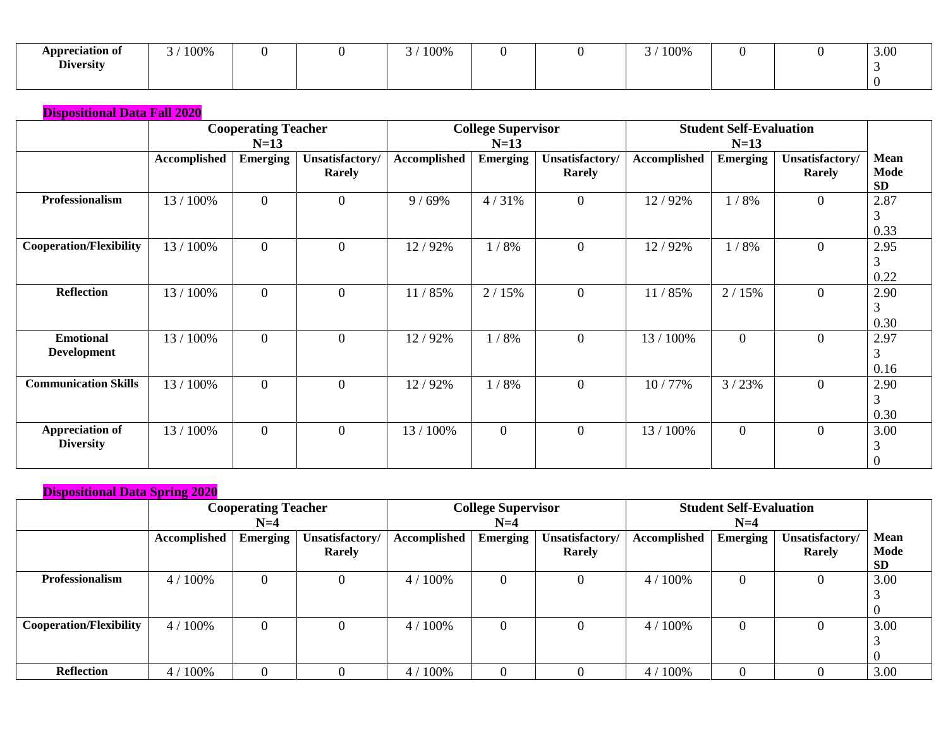| <b>\ppreciation of</b> | 100% |  | 100% |  | 100% |  | 3.00 |
|------------------------|------|--|------|--|------|--|------|
| <b>Diversity</b>       |      |  |      |  |      |  |      |
|                        |      |  |      |  |      |  |      |

|                                            | <b>Cooperating Teacher</b><br>$N=13$ |                 |                           | <b>College Supervisor</b><br>$N=13$ |                    |                           | <b>Student Self-Evaluation</b><br>$N=13$ |                 |                           |                               |
|--------------------------------------------|--------------------------------------|-----------------|---------------------------|-------------------------------------|--------------------|---------------------------|------------------------------------------|-----------------|---------------------------|-------------------------------|
|                                            | Accomplished                         | <b>Emerging</b> | Unsatisfactory/<br>Rarely | <b>Accomplished</b>                 | <b>Emerging</b>    | Unsatisfactory/<br>Rarely | Accomplished                             | <b>Emerging</b> | Unsatisfactory/<br>Rarely | Mean<br>Mode<br><b>SD</b>     |
| Professionalism                            | 13 / 100%                            | $\mathbf{0}$    | $\mathbf{0}$              | 9/69%                               | 4/31%              | $\overline{0}$            | 12/92%                                   | 1/8%            | $\mathbf{0}$              | 2.87<br>3<br>0.33             |
| <b>Cooperation/Flexibility</b>             | 13 / 100%                            | $\mathbf{0}$    | $\mathbf{0}$              | 12/92%                              | $/ 8\%$<br>$\perp$ | $\overline{0}$            | 12/92%                                   | 1/8%            | $\overline{0}$            | 2.95<br>3<br>0.22             |
| <b>Reflection</b>                          | 13 / 100%                            | $\mathbf{0}$    | $\mathbf{0}$              | 11/85%                              | 2/15%              | $\overline{0}$            | 11/85%                                   | 2/15%           | $\overline{0}$            | 2.90<br>3<br>0.30             |
| <b>Emotional</b><br><b>Development</b>     | 13 / 100%                            | $\mathbf{0}$    | $\mathbf{0}$              | 12/92%                              | 1/8%               | $\overline{0}$            | 13 / 100%                                | $\overline{0}$  | $\overline{0}$            | 2.97<br>3<br>0.16             |
| <b>Communication Skills</b>                | 13 / 100%                            | $\mathbf{0}$    | $\mathbf{0}$              | 12/92%                              | 1/8%               | $\overline{0}$            | 10/77%                                   | 3/23%           | $\overline{0}$            | 2.90<br>3<br>0.30             |
| <b>Appreciation of</b><br><b>Diversity</b> | 13 / 100%                            | $\mathbf{0}$    | $\overline{0}$            | 13 / 100%                           | $\overline{0}$     | $\overline{0}$            | 13 / 100%                                | $\overline{0}$  | $\overline{0}$            | 3.00<br>3<br>$\boldsymbol{0}$ |

| <b>Dispositional Data Spring 2020</b> |              |                            |                 |              |                           |                 |              |                                |                 |             |  |
|---------------------------------------|--------------|----------------------------|-----------------|--------------|---------------------------|-----------------|--------------|--------------------------------|-----------------|-------------|--|
|                                       |              | <b>Cooperating Teacher</b> |                 |              | <b>College Supervisor</b> |                 |              | <b>Student Self-Evaluation</b> |                 |             |  |
|                                       |              | $N=4$                      |                 |              | $N=4$                     |                 |              | $N=4$                          |                 |             |  |
|                                       | Accomplished | <b>Emerging</b>            | Unsatisfactory/ | Accomplished | <b>Emerging</b>           | Unsatisfactory/ | Accomplished | <b>Emerging</b>                | Unsatisfactory/ | <b>Mean</b> |  |
|                                       |              |                            | Rarely          |              |                           | <b>Rarely</b>   |              |                                | Rarely          | Mode        |  |
|                                       |              |                            |                 |              |                           |                 |              |                                |                 | <b>SD</b>   |  |
| <b>Professionalism</b>                | 4/100%       |                            | 0               | 4/100%       | $\Omega$                  |                 | $4/100\%$    | $\mathbf{0}$                   |                 | 3.00        |  |
|                                       |              |                            |                 |              |                           |                 |              |                                |                 |             |  |
|                                       |              |                            |                 |              |                           |                 |              |                                |                 | $\theta$    |  |
| <b>Cooperation/Flexibility</b>        | 4/100%       |                            | 0               | 4/100%       | $\theta$                  |                 | 4 / 100%     | $\overline{0}$                 |                 | 3.00        |  |
|                                       |              |                            |                 |              |                           |                 |              |                                |                 |             |  |
|                                       |              |                            |                 |              |                           |                 |              |                                |                 | $\Omega$    |  |
| <b>Reflection</b>                     | 4/100%       | $\theta$                   |                 | 100%<br>4/   |                           |                 | 4/100%       | $\theta$                       |                 | 3.00        |  |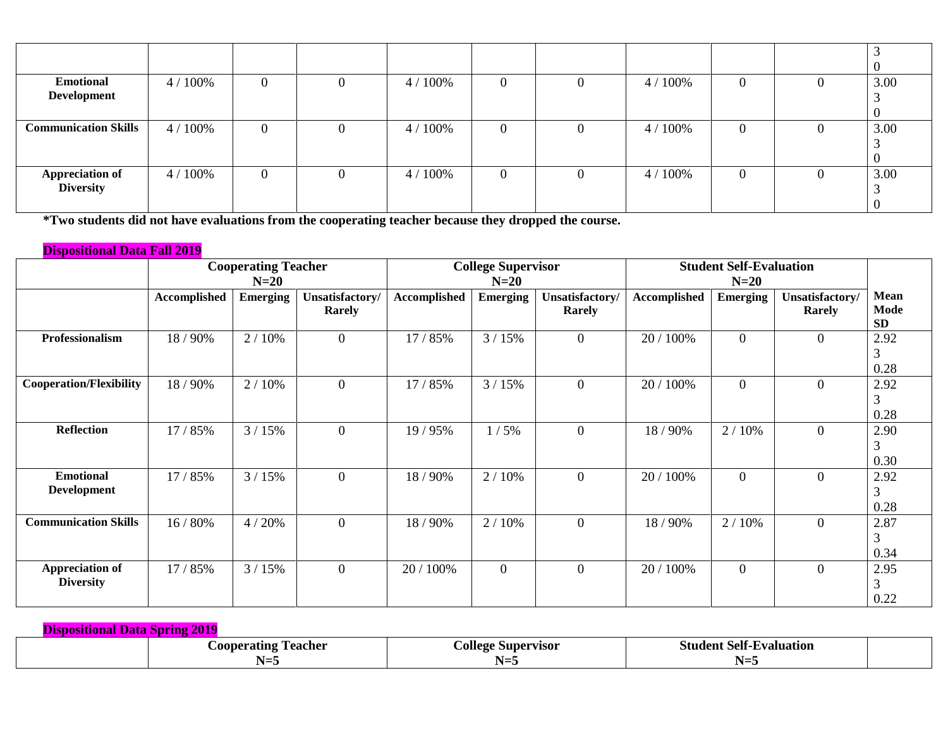| <b>Emotional</b><br><b>Development</b> | 4/100% | 0                | U | 4/100% | $\overline{0}$ | 4/100% | $\theta$ | 3.00 |
|----------------------------------------|--------|------------------|---|--------|----------------|--------|----------|------|
| <b>Communication Skills</b>            | 4/100% | $\mathbf 0$      | O | 4/100% | $\theta$       | 4/100% |          | 3.00 |
| <b>Appreciation of</b><br>Diversity    | 4/100% | $\boldsymbol{0}$ |   | 4/100% | $\theta$       | 4/100% | $\theta$ | 3.00 |

**\*Two students did not have evaluations from the cooperating teacher because they dropped the course.**

# **Dispositional Data Fall 2019**

| <b>Student Self-Evaluation</b> |                                             |                                |
|--------------------------------|---------------------------------------------|--------------------------------|
| $N=20$                         |                                             |                                |
| Emerging                       | Unsatisfactory/                             | <b>Mean</b>                    |
|                                | Rarely                                      | Mode                           |
|                                |                                             | <b>SD</b>                      |
|                                | $\overline{0}$                              | 2.92                           |
|                                |                                             | 3                              |
|                                |                                             | 0.28                           |
| $\overline{0}$                 | $\overline{0}$                              | 2.92                           |
|                                |                                             | 3                              |
|                                |                                             | 0.28                           |
| 2/10%                          | $\overline{0}$                              | 2.90                           |
|                                |                                             | 3                              |
|                                |                                             | 0.30                           |
| $\overline{0}$                 | $\overline{0}$                              | 2.92                           |
|                                |                                             | 3                              |
|                                |                                             | 0.28                           |
|                                |                                             | 2.87                           |
|                                |                                             | 3                              |
|                                |                                             | 0.34                           |
|                                |                                             | 2.95                           |
|                                |                                             | 3                              |
|                                |                                             | 0.22                           |
|                                | $\overline{0}$<br>2/10%<br>$\boldsymbol{0}$ | $\overline{0}$<br>$\mathbf{0}$ |

**Dispositional Data Spring 2019 Cooperating Teacher N=5 College Supervisor N=5 Student Self-Evaluation N=5**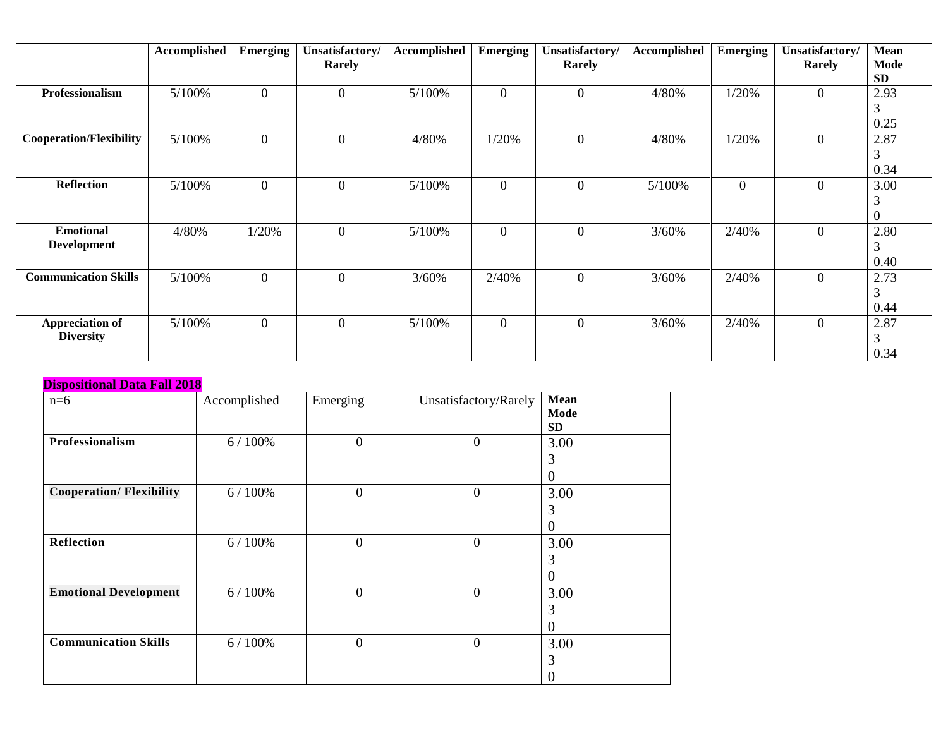|                                            | Accomplished | <b>Emerging</b> | Unsatisfactory/ | Accomplished | <b>Emerging</b> | Unsatisfactory/ | Accomplished | <b>Emerging</b> | Unsatisfactory/  | Mean                          |
|--------------------------------------------|--------------|-----------------|-----------------|--------------|-----------------|-----------------|--------------|-----------------|------------------|-------------------------------|
|                                            |              |                 | <b>Rarely</b>   |              |                 | <b>Rarely</b>   |              |                 | <b>Rarely</b>    | Mode<br><b>SD</b>             |
| Professionalism                            | 5/100%       | $\mathbf{0}$    | $\overline{0}$  | 5/100%       | $\mathbf{0}$    | $\overline{0}$  | 4/80%        | 1/20%           | $\mathbf{0}$     | 2.93                          |
|                                            |              |                 |                 |              |                 |                 |              |                 |                  | 3<br>0.25                     |
| <b>Cooperation/Flexibility</b>             | 5/100%       | $\mathbf{0}$    | $\mathbf{0}$    | 4/80%        | 1/20%           | $\overline{0}$  | 4/80%        | 1/20%           | $\boldsymbol{0}$ | 2.87<br>3                     |
| <b>Reflection</b>                          | 5/100%       | $\mathbf{0}$    | $\overline{0}$  | 5/100%       | $\mathbf{0}$    | $\overline{0}$  | 5/100%       | $\overline{0}$  | $\boldsymbol{0}$ | 0.34<br>3.00<br>3<br>$\Omega$ |
| <b>Emotional</b><br><b>Development</b>     | 4/80%        | 1/20%           | $\overline{0}$  | 5/100%       | $\mathbf{0}$    | $\overline{0}$  | 3/60%        | 2/40%           | $\boldsymbol{0}$ | 2.80<br>3<br>0.40             |
| <b>Communication Skills</b>                | 5/100%       | $\mathbf{0}$    | $\mathbf{0}$    | 3/60%        | 2/40%           | $\overline{0}$  | 3/60%        | 2/40%           | $\boldsymbol{0}$ | 2.73<br>3<br>0.44             |
| <b>Appreciation of</b><br><b>Diversity</b> | 5/100%       | $\mathbf{0}$    | $\overline{0}$  | 5/100%       | $\overline{0}$  | $\overline{0}$  | 3/60%        | 2/40%           | $\overline{0}$   | 2.87<br>3<br>0.34             |

| <b>Dispositional Data Fall 2018</b> |              |                |                       |                                         |
|-------------------------------------|--------------|----------------|-----------------------|-----------------------------------------|
| $n=6$                               | Accomplished | Emerging       | Unsatisfactory/Rarely | <b>Mean</b><br><b>Mode</b><br><b>SD</b> |
| Professionalism                     | 6/100%       | $\mathbf{0}$   | $\boldsymbol{0}$      | 3.00<br>3<br>0                          |
| <b>Cooperation/Flexibility</b>      | 6/100%       | $\mathbf{0}$   | $\overline{0}$        | 3.00<br>3<br>0                          |
| <b>Reflection</b>                   | 6/100%       | $\mathbf{0}$   | $\overline{0}$        | 3.00<br>3<br>0                          |
| <b>Emotional Development</b>        | 6/100%       | $\overline{0}$ | $\overline{0}$        | 3.00<br>3<br>$\theta$                   |
| <b>Communication Skills</b>         | 6/100%       | $\overline{0}$ | $\overline{0}$        | 3.00<br>3<br>0                          |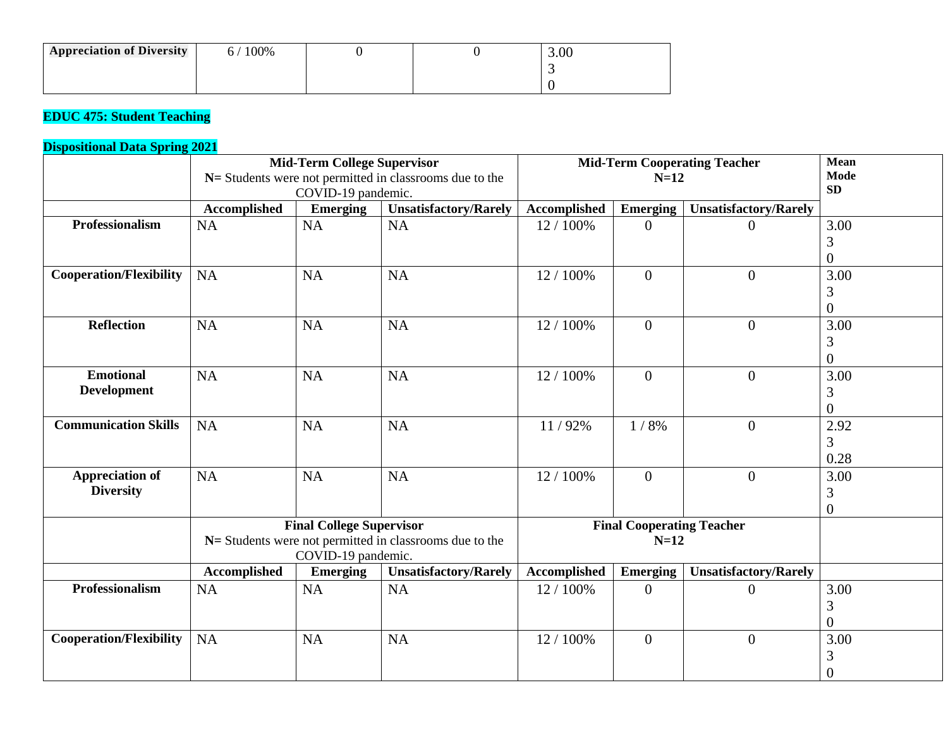| <b>Appreciation of Diversity</b> | 100% |  | 3.00 |
|----------------------------------|------|--|------|
|                                  |      |  |      |
|                                  |      |  |      |

# **EDUC 475: Student Teaching**

|                                |                     | <b>Mid-Term College Supervisor</b><br>COVID-19 pandemic. | N= Students were not permitted in classrooms due to the |              | $N=12$                           | <b>Mid-Term Cooperating Teacher</b> | Mean<br><b>Mode</b><br><b>SD</b> |
|--------------------------------|---------------------|----------------------------------------------------------|---------------------------------------------------------|--------------|----------------------------------|-------------------------------------|----------------------------------|
|                                | <b>Accomplished</b> | <b>Emerging</b>                                          | <b>Unsatisfactory/Rarely</b>                            | Accomplished | <b>Emerging</b>                  | <b>Unsatisfactory/Rarely</b>        |                                  |
| Professionalism                | <b>NA</b>           | NA                                                       | NA                                                      | 12 / 100%    | $\overline{0}$                   | $\Omega$                            | 3.00                             |
|                                |                     |                                                          |                                                         |              |                                  |                                     | 3                                |
|                                |                     |                                                          |                                                         |              |                                  |                                     | $\overline{0}$                   |
| <b>Cooperation/Flexibility</b> | <b>NA</b>           | <b>NA</b>                                                | <b>NA</b>                                               | 12 / 100%    | $\boldsymbol{0}$                 | $\overline{0}$                      | 3.00                             |
|                                |                     |                                                          |                                                         |              |                                  |                                     | 3                                |
|                                |                     |                                                          |                                                         |              |                                  |                                     | $\overline{0}$                   |
| <b>Reflection</b>              | NA                  | <b>NA</b>                                                | NA                                                      | 12 / 100%    | $\boldsymbol{0}$                 | $\overline{0}$                      | 3.00                             |
|                                |                     |                                                          |                                                         |              |                                  |                                     | 3                                |
|                                |                     |                                                          |                                                         |              |                                  |                                     | $\theta$                         |
| <b>Emotional</b>               | <b>NA</b>           | <b>NA</b>                                                | <b>NA</b>                                               | 12 / 100%    | $\overline{0}$                   | $\overline{0}$                      | 3.00                             |
| <b>Development</b>             |                     |                                                          |                                                         |              |                                  |                                     | 3                                |
|                                |                     |                                                          |                                                         |              |                                  |                                     | $\theta$                         |
| <b>Communication Skills</b>    | <b>NA</b>           | <b>NA</b>                                                | NA                                                      | 11/92%       | 1/8%                             | $\overline{0}$                      | 2.92                             |
|                                |                     |                                                          |                                                         |              |                                  |                                     | 3                                |
|                                |                     |                                                          |                                                         |              |                                  |                                     | 0.28                             |
| <b>Appreciation of</b>         | <b>NA</b>           | <b>NA</b>                                                | <b>NA</b>                                               | 12 / 100%    | $\overline{0}$                   | $\overline{0}$                      | 3.00                             |
| <b>Diversity</b>               |                     |                                                          |                                                         |              |                                  |                                     | 3                                |
|                                |                     |                                                          |                                                         |              |                                  |                                     | $\theta$                         |
|                                |                     | <b>Final College Supervisor</b>                          |                                                         |              | <b>Final Cooperating Teacher</b> |                                     |                                  |
|                                |                     |                                                          | N= Students were not permitted in classrooms due to the |              | $N=12$                           |                                     |                                  |
|                                |                     | COVID-19 pandemic.                                       |                                                         |              |                                  |                                     |                                  |
|                                | <b>Accomplished</b> | <b>Emerging</b>                                          | <b>Unsatisfactory/Rarely</b>                            | Accomplished | <b>Emerging</b>                  | <b>Unsatisfactory/Rarely</b>        |                                  |
| Professionalism                | <b>NA</b>           | <b>NA</b>                                                | <b>NA</b>                                               | 12 / 100%    | $\mathbf{0}$                     | $\Omega$                            | 3.00                             |
|                                |                     |                                                          |                                                         |              |                                  |                                     | 3                                |
|                                |                     |                                                          |                                                         |              |                                  |                                     | $\overline{0}$                   |
| <b>Cooperation/Flexibility</b> | <b>NA</b>           | <b>NA</b>                                                | <b>NA</b>                                               | 12 / 100%    | $\overline{0}$                   | $\overline{0}$                      | 3.00                             |
|                                |                     |                                                          |                                                         |              |                                  |                                     | 3                                |
|                                |                     |                                                          |                                                         |              |                                  |                                     | $\overline{0}$                   |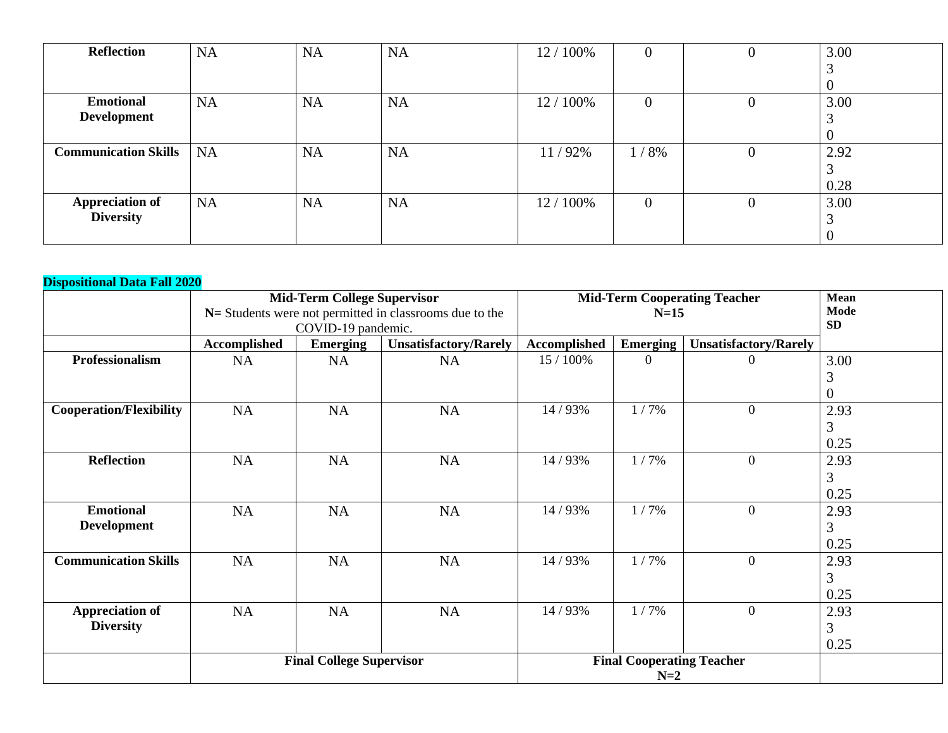| <b>Reflection</b>           | <b>NA</b> | <b>NA</b> | <b>NA</b> | 12 / 100% | $\boldsymbol{0}$ | U              | 3.00 |
|-----------------------------|-----------|-----------|-----------|-----------|------------------|----------------|------|
|                             |           |           |           |           |                  |                |      |
|                             |           |           |           |           |                  |                |      |
| <b>Emotional</b>            | <b>NA</b> | <b>NA</b> | <b>NA</b> | 12 / 100% | $\boldsymbol{0}$ | 0              | 3.00 |
| <b>Development</b>          |           |           |           |           |                  |                |      |
|                             |           |           |           |           |                  |                |      |
| <b>Communication Skills</b> | <b>NA</b> | <b>NA</b> | <b>NA</b> | 11/92%    | 1/8%             | $\overline{0}$ | 2.92 |
|                             |           |           |           |           |                  |                |      |
|                             |           |           |           |           |                  |                | 0.28 |
| <b>Appreciation of</b>      | <b>NA</b> | <b>NA</b> | <b>NA</b> | 12 / 100% | $\overline{0}$   | $\theta$       | 3.00 |
| <b>Diversity</b>            |           |           |           |           |                  |                |      |
|                             |           |           |           |           |                  |                |      |

|                                |                     | <b>Mid-Term College Supervisor</b> | $N=$ Students were not permitted in classrooms due to the |              | $N=15$                           | <b>Mid-Term Cooperating Teacher</b> | <b>Mean</b><br>Mode |  |
|--------------------------------|---------------------|------------------------------------|-----------------------------------------------------------|--------------|----------------------------------|-------------------------------------|---------------------|--|
|                                |                     | COVID-19 pandemic.                 |                                                           |              |                                  |                                     | <b>SD</b>           |  |
|                                | <b>Accomplished</b> | <b>Emerging</b>                    | <b>Unsatisfactory/Rarely</b>                              | Accomplished | <b>Emerging</b>                  | <b>Unsatisfactory/Rarely</b>        |                     |  |
| <b>Professionalism</b>         | <b>NA</b>           | NA                                 | NA                                                        | 15 / 100%    | $\theta$                         |                                     | 3.00                |  |
|                                |                     |                                    |                                                           |              |                                  |                                     | 3                   |  |
|                                |                     |                                    |                                                           |              |                                  |                                     |                     |  |
| <b>Cooperation/Flexibility</b> | NA                  | NA                                 | NA                                                        | 14 / 93%     | 1/7%                             | $\overline{0}$                      | 2.93                |  |
|                                |                     |                                    |                                                           |              |                                  |                                     | 3                   |  |
|                                |                     |                                    |                                                           |              |                                  |                                     | 0.25                |  |
| <b>Reflection</b>              | <b>NA</b>           | <b>NA</b>                          | <b>NA</b>                                                 | 14 / 93%     | 1/7%                             | $\overline{0}$                      | 2.93                |  |
|                                |                     |                                    |                                                           |              |                                  |                                     | 3                   |  |
|                                |                     |                                    |                                                           |              |                                  |                                     | 0.25                |  |
| <b>Emotional</b>               | <b>NA</b>           | <b>NA</b>                          | NA                                                        | 14 / 93%     | 1/7%                             | $\overline{0}$                      | 2.93                |  |
| <b>Development</b>             |                     |                                    |                                                           |              |                                  |                                     | 3                   |  |
|                                |                     |                                    |                                                           |              |                                  |                                     | 0.25                |  |
| <b>Communication Skills</b>    | <b>NA</b>           | NA                                 | NA                                                        | 14 / 93%     | 1/7%                             | $\overline{0}$                      | 2.93                |  |
|                                |                     |                                    |                                                           |              |                                  |                                     | 3                   |  |
|                                |                     |                                    |                                                           |              |                                  |                                     | 0.25                |  |
| <b>Appreciation of</b>         | NA                  | NA                                 | NA                                                        | 14 / 93%     | 1/7%                             | $\boldsymbol{0}$                    | 2.93                |  |
| <b>Diversity</b>               |                     |                                    |                                                           |              |                                  |                                     | 3                   |  |
|                                |                     |                                    |                                                           |              |                                  |                                     | 0.25                |  |
|                                |                     | <b>Final College Supervisor</b>    |                                                           |              | <b>Final Cooperating Teacher</b> |                                     |                     |  |
|                                |                     |                                    |                                                           |              | $N=2$                            |                                     |                     |  |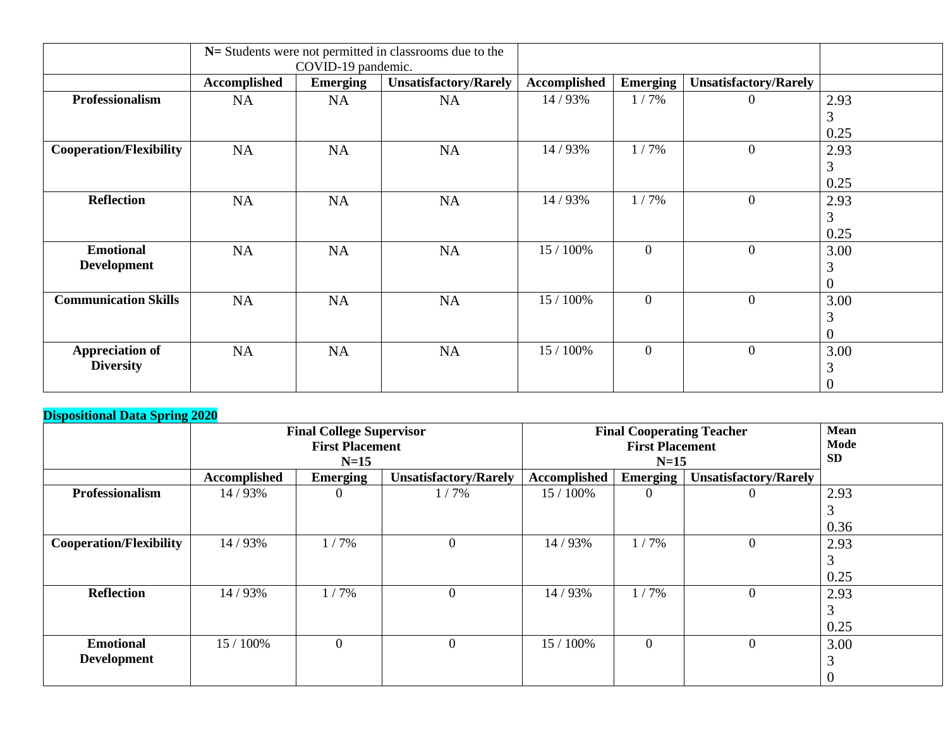|                                |                     | COVID-19 pandemic. | $N=$ Students were not permitted in classrooms due to the |              |                 |                              |                |
|--------------------------------|---------------------|--------------------|-----------------------------------------------------------|--------------|-----------------|------------------------------|----------------|
|                                | <b>Accomplished</b> | <b>Emerging</b>    | <b>Unsatisfactory/Rarely</b>                              | Accomplished | <b>Emerging</b> | <b>Unsatisfactory/Rarely</b> |                |
| Professionalism                | <b>NA</b>           | <b>NA</b>          | <b>NA</b>                                                 | 14 / 93%     | $1/7\%$         | $\Omega$                     | 2.93           |
|                                |                     |                    |                                                           |              |                 |                              | 3              |
|                                |                     |                    |                                                           |              |                 |                              | 0.25           |
| <b>Cooperation/Flexibility</b> | NA                  | NA                 | NA                                                        | 14 / 93%     | 1/7%            | $\boldsymbol{0}$             | 2.93           |
|                                |                     |                    |                                                           |              |                 |                              | 3              |
|                                |                     |                    |                                                           |              |                 |                              | 0.25           |
| <b>Reflection</b>              | <b>NA</b>           | NA                 | <b>NA</b>                                                 | 14 / 93%     | 1/7%            | $\overline{0}$               | 2.93           |
|                                |                     |                    |                                                           |              |                 |                              | 3              |
|                                |                     |                    |                                                           |              |                 |                              | 0.25           |
| <b>Emotional</b>               | NA                  | <b>NA</b>          | <b>NA</b>                                                 | 15 / 100%    | $\overline{0}$  | $\overline{0}$               | 3.00           |
| <b>Development</b>             |                     |                    |                                                           |              |                 |                              | 3              |
|                                |                     |                    |                                                           |              |                 |                              | $\theta$       |
| <b>Communication Skills</b>    | NA                  | <b>NA</b>          | <b>NA</b>                                                 | 15 / 100%    | $\overline{0}$  | $\theta$                     | 3.00           |
|                                |                     |                    |                                                           |              |                 |                              | 3              |
|                                |                     |                    |                                                           |              |                 |                              |                |
| <b>Appreciation of</b>         | NA                  | NA                 | <b>NA</b>                                                 | 15 / 100%    | $\overline{0}$  | $\boldsymbol{0}$             | 3.00           |
| <b>Diversity</b>               |                     |                    |                                                           |              |                 |                              | 3              |
|                                |                     |                    |                                                           |              |                 |                              | $\overline{0}$ |

|                                |                     | <b>Final College Supervisor</b><br><b>First Placement</b> | <b>Final Cooperating Teacher</b><br><b>First Placement</b><br>$N=15$ |              |                 | <b>Mean</b><br>Mode<br><b>SD</b> |      |
|--------------------------------|---------------------|-----------------------------------------------------------|----------------------------------------------------------------------|--------------|-----------------|----------------------------------|------|
|                                | <b>Accomplished</b> | <b>Emerging</b>                                           | <b>Unsatisfactory/Rarely</b>                                         | Accomplished | <b>Emerging</b> | <b>Unsatisfactory/Rarely</b>     |      |
| Professionalism                | 14/93%              | $\Omega$                                                  | 1/7%                                                                 | 15 / 100%    | $\theta$        |                                  | 2.93 |
|                                |                     |                                                           |                                                                      |              |                 |                                  |      |
|                                |                     |                                                           |                                                                      |              |                 |                                  | 0.36 |
| <b>Cooperation/Flexibility</b> | 14/93%              | 1/7%                                                      | $\overline{0}$                                                       | 14/93%       | 1/7%            | $\Omega$                         | 2.93 |
|                                |                     |                                                           |                                                                      |              |                 |                                  |      |
|                                |                     |                                                           |                                                                      |              |                 |                                  | 0.25 |
| <b>Reflection</b>              | 14 / 93%            | 1/7%                                                      | $\theta$                                                             | 14/93%       | 1/7%            | $\Omega$                         | 2.93 |
|                                |                     |                                                           |                                                                      |              |                 |                                  |      |
|                                |                     |                                                           |                                                                      |              |                 |                                  | 0.25 |
| <b>Emotional</b>               | 15 / 100%           | $\overline{0}$                                            | $\theta$                                                             | 15 / 100%    | $\mathbf{0}$    | $\Omega$                         | 3.00 |
| <b>Development</b>             |                     |                                                           |                                                                      |              |                 |                                  |      |
|                                |                     |                                                           |                                                                      |              |                 |                                  |      |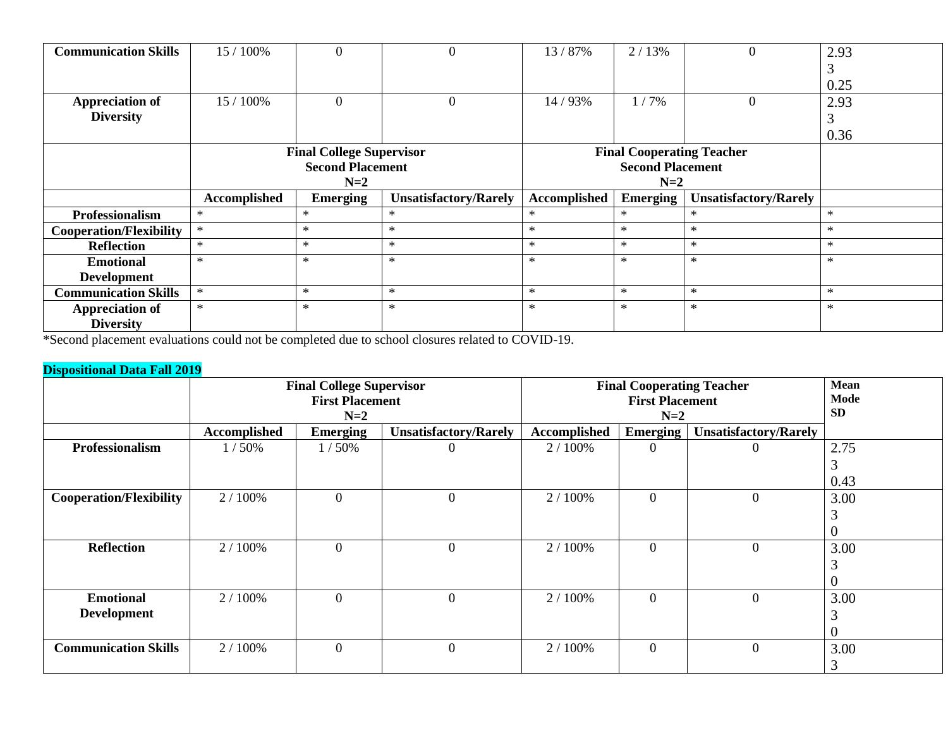| <b>Communication Skills</b>    | 15 / 100%               | $\theta$                        |                              | 13/87%       | 2/13%                            |                              | 2.93   |  |
|--------------------------------|-------------------------|---------------------------------|------------------------------|--------------|----------------------------------|------------------------------|--------|--|
|                                |                         |                                 |                              |              |                                  |                              |        |  |
|                                |                         |                                 |                              |              |                                  |                              | 0.25   |  |
| <b>Appreciation of</b>         | 15 / 100%               | $\boldsymbol{0}$                | $\overline{0}$               | 14/93%       | 1/7%                             |                              | 2.93   |  |
| <b>Diversity</b>               |                         |                                 |                              |              |                                  |                              |        |  |
|                                |                         |                                 |                              |              |                                  |                              | 0.36   |  |
|                                |                         | <b>Final College Supervisor</b> |                              |              | <b>Final Cooperating Teacher</b> |                              |        |  |
|                                | <b>Second Placement</b> |                                 |                              |              |                                  |                              |        |  |
|                                |                         | $N=2$                           |                              |              | $N=2$                            |                              |        |  |
|                                |                         |                                 |                              |              |                                  |                              |        |  |
|                                | Accomplished            | <b>Emerging</b>                 | <b>Unsatisfactory/Rarely</b> | Accomplished | Emerging                         | <b>Unsatisfactory/Rarely</b> |        |  |
| <b>Professionalism</b>         | $\ast$                  | $*$                             | $\ast$                       | $\ast$       | $*$                              | $\ast$                       | $\ast$ |  |
| <b>Cooperation/Flexibility</b> | $\ast$                  | $\ast$                          | $\ast$                       | $\ast$       | $*$                              | $\ast$                       | $\ast$ |  |
| <b>Reflection</b>              | $\ast$                  | $\ast$                          | $\ast$                       | $\ast$       | $*$                              | $\ast$                       | $\ast$ |  |
| <b>Emotional</b>               | $\ast$                  | $\ast$                          | $\ast$                       | $\ast$       | $\ast$                           | $\ast$                       | $\ast$ |  |
| <b>Development</b>             |                         |                                 |                              |              |                                  |                              |        |  |
| <b>Communication Skills</b>    | $\ast$                  | $\ast$                          | $\ast$                       | $\ast$       | $*$                              | $\ast$                       | $\ast$ |  |
| <b>Appreciation of</b>         | $\ast$                  | $*$                             | $\ast$                       | $\ast$       | $\ast$                           | $\ast$                       | $\ast$ |  |

\*Second placement evaluations could not be completed due to school closures related to COVID-19.

|                                |              | <b>Final College Supervisor</b> |                              |              | <b>Final Cooperating Teacher</b> | <b>Mean</b>                  |      |
|--------------------------------|--------------|---------------------------------|------------------------------|--------------|----------------------------------|------------------------------|------|
|                                |              | <b>First Placement</b>          |                              |              | <b>First Placement</b>           |                              | Mode |
|                                |              | $N=2$                           |                              |              |                                  | <b>SD</b>                    |      |
|                                | Accomplished | <b>Emerging</b>                 | <b>Unsatisfactory/Rarely</b> | Accomplished | <b>Emerging</b>                  | <b>Unsatisfactory/Rarely</b> |      |
| <b>Professionalism</b>         | 1/50%        | 1/50%                           | O                            | 2/100%       | $\overline{0}$                   | 0                            | 2.75 |
|                                |              |                                 |                              |              |                                  |                              | 3    |
|                                |              |                                 |                              |              |                                  |                              | 0.43 |
| <b>Cooperation/Flexibility</b> | 2 / 100%     | $\mathbf{0}$                    | $\boldsymbol{0}$             | 2/100%       | $\overline{0}$                   | $\overline{0}$               | 3.00 |
|                                |              |                                 |                              |              |                                  |                              |      |
|                                |              |                                 |                              |              |                                  |                              |      |
| <b>Reflection</b>              | 2/100%       | $\overline{0}$                  | 0                            | 2/100%       | $\overline{0}$                   | $\overline{0}$               | 3.00 |
|                                |              |                                 |                              |              |                                  |                              |      |
|                                |              |                                 |                              |              |                                  |                              | v    |
| <b>Emotional</b>               | 2/100%       | $\mathbf{0}$                    | $\boldsymbol{0}$             | 2/100%       | $\overline{0}$                   | $\mathbf{0}$                 | 3.00 |
| <b>Development</b>             |              |                                 |                              |              |                                  |                              |      |
|                                |              |                                 |                              |              |                                  |                              |      |
| <b>Communication Skills</b>    | 2/100%       | $\overline{0}$                  | $\overline{0}$               | 2 / 100%     | $\overline{0}$                   | $\Omega$                     | 3.00 |
|                                |              |                                 |                              |              |                                  |                              | 3    |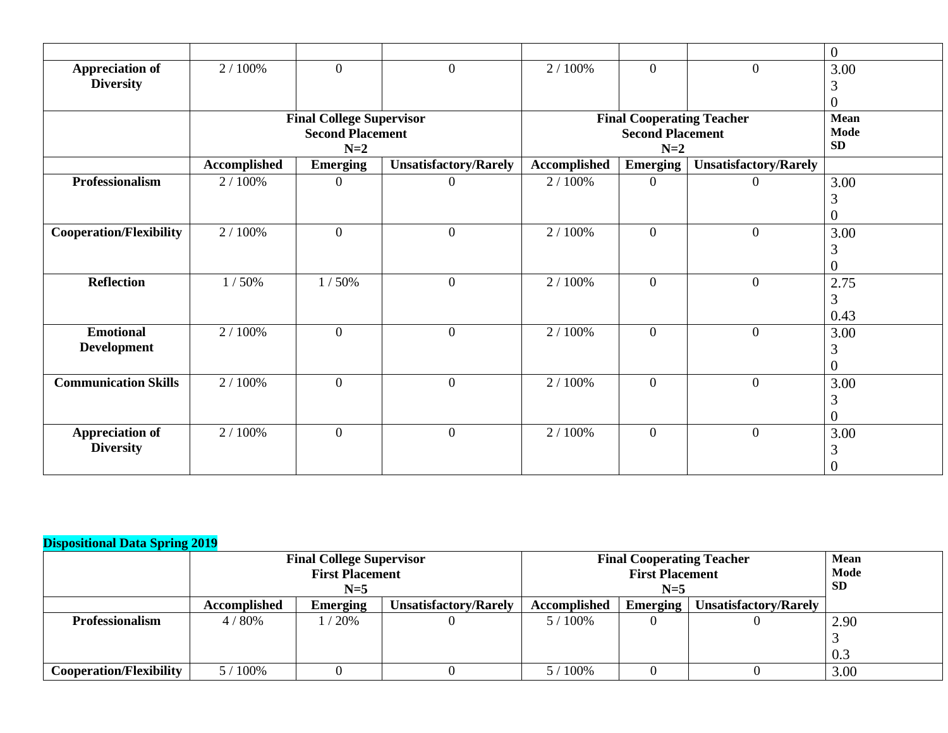|                                            |                     |                                 |                              |              |                                  |                              | $\overline{0}$ |
|--------------------------------------------|---------------------|---------------------------------|------------------------------|--------------|----------------------------------|------------------------------|----------------|
| <b>Appreciation of</b><br><b>Diversity</b> | 2 / 100%            | $\overline{0}$                  | $\overline{0}$               | 2/100%       | $\theta$                         | $\overline{0}$               | 3.00           |
|                                            |                     |                                 |                              |              |                                  |                              | 3<br>0         |
|                                            |                     | <b>Final College Supervisor</b> |                              |              | <b>Final Cooperating Teacher</b> |                              | Mean           |
|                                            |                     | <b>Second Placement</b>         |                              |              | <b>Mode</b>                      |                              |                |
|                                            |                     | $N=2$                           |                              |              | SD                               |                              |                |
|                                            | <b>Accomplished</b> | <b>Emerging</b>                 | <b>Unsatisfactory/Rarely</b> | Accomplished | $N=2$<br><b>Emerging</b>         | <b>Unsatisfactory/Rarely</b> |                |
| <b>Professionalism</b>                     | 2 / 100%            | $\theta$                        | $\overline{0}$               | 2 / 100%     | $\overline{0}$                   | $\overline{0}$               | 3.00           |
|                                            |                     |                                 |                              |              |                                  |                              | 3              |
|                                            |                     |                                 |                              |              |                                  |                              | 0              |
| <b>Cooperation/Flexibility</b>             | 2 / 100%            | $\overline{0}$                  | $\overline{0}$               | 2 / 100%     | $\theta$                         | $\overline{0}$               | 3.00           |
|                                            |                     |                                 |                              |              |                                  |                              | 3              |
|                                            |                     |                                 |                              |              |                                  |                              | 0              |
| <b>Reflection</b>                          | 1/50%               | 1/50%                           | $\overline{0}$               | 2 / 100%     | $\overline{0}$                   | $\overline{0}$               | 2.75           |
|                                            |                     |                                 |                              |              |                                  |                              | 3              |
|                                            |                     |                                 |                              |              |                                  |                              | 0.43           |
| <b>Emotional</b>                           | 2 / 100%            | $\overline{0}$                  | $\overline{0}$               | 2 / 100%     | $\overline{0}$                   | $\overline{0}$               | 3.00           |
| <b>Development</b>                         |                     |                                 |                              |              |                                  |                              | 3              |
|                                            |                     |                                 |                              |              |                                  |                              | 0              |
| <b>Communication Skills</b>                | 2 / 100%            | $\overline{0}$                  | $\overline{0}$               | 2 / 100%     | $\theta$                         | $\overline{0}$               | 3.00           |
|                                            |                     |                                 |                              |              |                                  |                              | 3              |
|                                            |                     |                                 |                              |              |                                  |                              | 0              |
| <b>Appreciation of</b>                     | 2 / 100%            | $\mathbf{0}$                    | $\boldsymbol{0}$             | 2 / 100%     | $\overline{0}$                   | $\overline{0}$               | 3.00           |
| <b>Diversity</b>                           |                     |                                 |                              |              |                                  |                              |                |
|                                            |                     |                                 |                              |              |                                  |                              |                |

|                                | <b>Final College Supervisor</b><br><b>First Placement</b><br>$N=5$ |                 |                              | <b>Final Cooperating Teacher</b><br><b>First Placement</b><br>$N=5$ |          |                              | <b>Mean</b><br>Mode<br><b>SD</b> |
|--------------------------------|--------------------------------------------------------------------|-----------------|------------------------------|---------------------------------------------------------------------|----------|------------------------------|----------------------------------|
|                                | <b>Accomplished</b>                                                | <b>Emerging</b> | <b>Unsatisfactory/Rarely</b> | Accomplished                                                        | Emerging | <b>Unsatisfactory/Rarely</b> |                                  |
| <b>Professionalism</b>         | 4/80%                                                              | /20%            |                              | $5/100\%$                                                           |          |                              | 2.90                             |
|                                |                                                                    |                 |                              |                                                                     |          |                              |                                  |
|                                |                                                                    |                 |                              |                                                                     |          |                              | 0.3                              |
| <b>Cooperation/Flexibility</b> | $5/100\%$                                                          |                 |                              | $5/100\%$                                                           |          |                              | 3.00                             |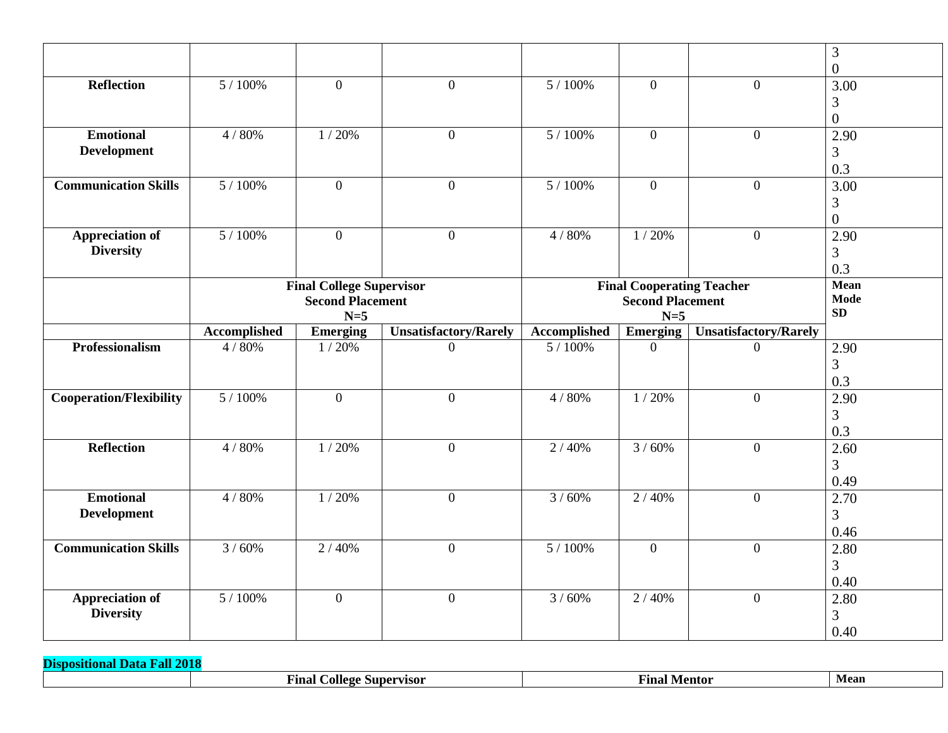|                                            |              |                                 |                              |                                  |                          |                              | 3                      |
|--------------------------------------------|--------------|---------------------------------|------------------------------|----------------------------------|--------------------------|------------------------------|------------------------|
|                                            |              |                                 |                              |                                  |                          |                              | $\overline{0}$         |
| Reflection                                 | 5/100%       | $\theta$                        | $\overline{0}$               | 5 / 100%                         | $\theta$                 | $\overline{0}$               | 3.00                   |
|                                            |              |                                 |                              |                                  |                          |                              | 3                      |
|                                            |              |                                 |                              |                                  |                          |                              | $\overline{0}$         |
| <b>Emotional</b>                           | 4/80%        | 1/20%                           | $\overline{0}$               | 5 / 100%                         | $\overline{0}$           | $\overline{0}$               | 2.90                   |
| <b>Development</b>                         |              |                                 |                              |                                  |                          |                              | 3                      |
|                                            |              |                                 |                              |                                  |                          |                              | 0.3                    |
| <b>Communication Skills</b>                | 5 / 100%     | $\overline{0}$                  | $\overline{0}$               | 5/100%                           | $\overline{0}$           | $\overline{0}$               | 3.00                   |
|                                            |              |                                 |                              |                                  |                          |                              | 3                      |
|                                            |              |                                 |                              |                                  |                          |                              | $\overline{0}$         |
| <b>Appreciation of</b>                     | 5 / 100%     | $\mathbf{0}$                    | $\overline{0}$               | 4/80%                            | 1/20%                    | $\mathbf{0}$                 | 2.90                   |
| <b>Diversity</b>                           |              |                                 |                              |                                  |                          |                              | 3                      |
|                                            |              |                                 |                              |                                  |                          |                              | 0.3                    |
|                                            |              | <b>Final College Supervisor</b> |                              | <b>Final Cooperating Teacher</b> | Mean<br>Mode             |                              |                        |
|                                            |              | <b>Second Placement</b>         |                              |                                  | SD                       |                              |                        |
|                                            | Accomplished | $N=5$                           | <b>Unsatisfactory/Rarely</b> | Accomplished                     | $N=5$<br><b>Emerging</b> | <b>Unsatisfactory/Rarely</b> |                        |
| Professionalism                            | 4/80%        | <b>Emerging</b><br>1/20%        | $\overline{0}$               | 5 / 100%                         | $\overline{0}$           | $\theta$                     |                        |
|                                            |              |                                 |                              |                                  |                          |                              | 2.90                   |
|                                            |              |                                 |                              |                                  |                          |                              | 3                      |
|                                            |              |                                 |                              |                                  |                          |                              |                        |
|                                            |              |                                 |                              |                                  |                          |                              | 0.3                    |
| <b>Cooperation/Flexibility</b>             | 5 / 100%     | $\overline{0}$                  | $\overline{0}$               | 4/80%                            | 1/20%                    | $\overline{0}$               | 2.90                   |
|                                            |              |                                 |                              |                                  |                          |                              | $\overline{3}$         |
|                                            |              |                                 |                              |                                  |                          |                              | 0.3                    |
| <b>Reflection</b>                          | 4/80%        | 1/20%                           | $\overline{0}$               | 2/40%                            | 3/60%                    | $\overline{0}$               | 2.60                   |
|                                            |              |                                 |                              |                                  |                          |                              | $\overline{3}$         |
|                                            |              |                                 |                              |                                  |                          |                              | 0.49                   |
| <b>Emotional</b>                           | 4 / 80%      | 1/20%                           | $\overline{0}$               | 3/60%                            | 2/40%                    | $\overline{0}$               | 2.70                   |
| <b>Development</b>                         |              |                                 |                              |                                  |                          |                              | $\overline{3}$         |
|                                            |              |                                 |                              |                                  |                          |                              | 0.46                   |
| <b>Communication Skills</b>                | 3/60%        | 2/40%                           | $\overline{0}$               | 5 / 100%                         | $\overline{0}$           | $\overline{0}$               | 2.80                   |
|                                            |              |                                 |                              |                                  |                          |                              | 3                      |
|                                            |              |                                 |                              |                                  |                          |                              | 0.40                   |
| <b>Appreciation of</b><br><b>Diversity</b> | 5 / 100%     | $\overline{0}$                  | $\overline{0}$               | 3/60%                            | 2/40%                    | $\mathbf{0}$                 | 2.80<br>$\overline{3}$ |

| 201<br>.<br>onal<br><i></i> . |                                               |                |      |
|-------------------------------|-----------------------------------------------|----------------|------|
|                               | $\sim$ ollege $\sim$<br>r inal'<br>Supervisor | Anal<br>Mentor | Mean |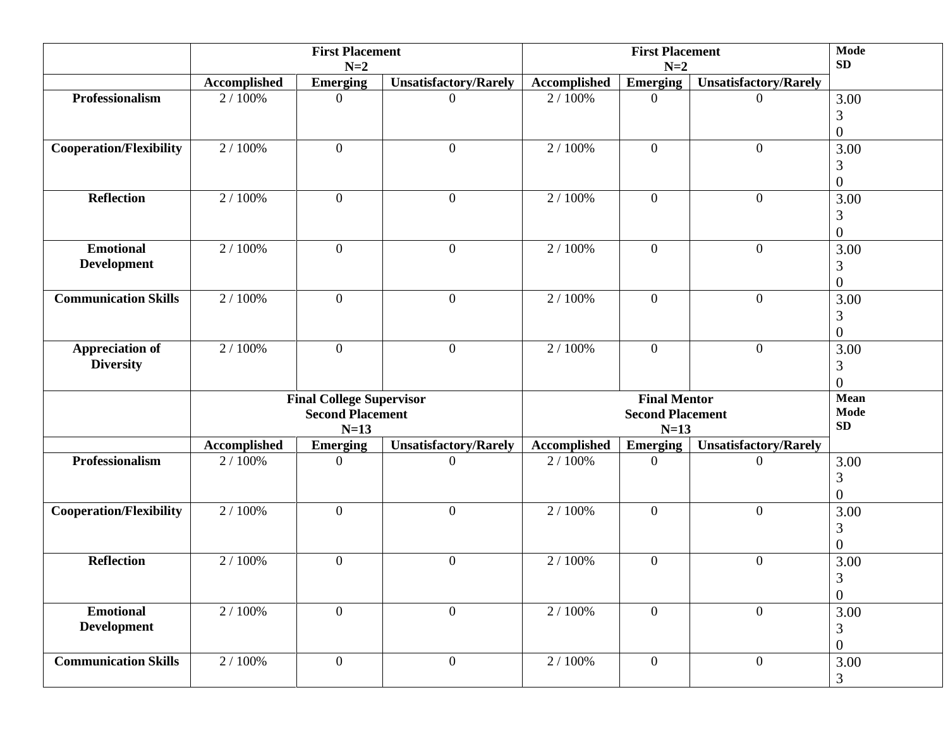|                                            | <b>First Placement</b><br>$N=2$                                      |                 |                              | <b>First Placement</b><br>$N=2$ |                                          |                              | Mode<br>SD                    |
|--------------------------------------------|----------------------------------------------------------------------|-----------------|------------------------------|---------------------------------|------------------------------------------|------------------------------|-------------------------------|
|                                            |                                                                      |                 |                              |                                 |                                          |                              |                               |
|                                            | Accomplished                                                         | <b>Emerging</b> | <b>Unsatisfactory/Rarely</b> | <b>Accomplished</b>             | <b>Emerging</b>                          | <b>Unsatisfactory/Rarely</b> |                               |
| Professionalism                            | 2 / 100%                                                             | $\theta$        | $\overline{0}$               | 2 / 100%                        | $\overline{0}$                           | $\overline{0}$               | 3.00<br>3<br>$\boldsymbol{0}$ |
| <b>Cooperation/Flexibility</b>             | 2 / 100%                                                             | $\overline{0}$  | $\mathbf{0}$                 | 2 / 100%                        | $\mathbf{0}$                             | $\overline{0}$               | 3.00<br>3<br>$\boldsymbol{0}$ |
| <b>Reflection</b>                          | 2 / 100%                                                             | $\overline{0}$  | $\mathbf{0}$                 | 2 / 100%                        | $\overline{0}$                           | $\overline{0}$               | 3.00<br>3<br>$\boldsymbol{0}$ |
| <b>Emotional</b><br><b>Development</b>     | 2 / 100%                                                             | $\overline{0}$  | $\mathbf{0}$                 | 2 / 100%                        | $\overline{0}$                           | $\overline{0}$               | 3.00<br>3<br>$\boldsymbol{0}$ |
| <b>Communication Skills</b>                | 2 / 100%                                                             | $\overline{0}$  | $\boldsymbol{0}$             | 2 / 100%                        | $\overline{0}$                           | $\overline{0}$               | 3.00<br>3<br>$\boldsymbol{0}$ |
| <b>Appreciation of</b><br><b>Diversity</b> | 2 / 100%                                                             | $\theta$        | $\overline{0}$               | 2 / 100%                        | $\overline{0}$                           | $\overline{0}$               | 3.00<br>3<br>$\overline{0}$   |
|                                            | <b>Final College Supervisor</b><br><b>Second Placement</b><br>$N=13$ |                 |                              |                                 | <b>Mean</b><br><b>Mode</b><br>${\bf SD}$ |                              |                               |
|                                            | Accomplished                                                         | <b>Emerging</b> | <b>Unsatisfactory/Rarely</b> | <b>Accomplished</b>             | <b>Emerging</b>                          | <b>Unsatisfactory/Rarely</b> |                               |
| Professionalism                            | 2 / 100%                                                             | $\Omega$        | $\Omega$                     | 2 / 100%                        | $\overline{0}$                           | $\Omega$                     | 3.00<br>3<br>$\overline{0}$   |
| <b>Cooperation/Flexibility</b>             | 2/100%                                                               | $\overline{0}$  | $\boldsymbol{0}$             | 2 / 100%                        | $\overline{0}$                           | $\overline{0}$               | 3.00<br>3<br>$\overline{0}$   |
| <b>Reflection</b>                          | 2 / 100%                                                             | $\overline{0}$  | $\mathbf{0}$                 | 2 / 100%                        | $\overline{0}$                           | $\overline{0}$               | 3.00<br>3<br>$\boldsymbol{0}$ |
| <b>Emotional</b><br><b>Development</b>     | 2/100%                                                               | $\overline{0}$  | $\overline{0}$               | 2/100%                          | $\overline{0}$                           | $\overline{0}$               | 3.00<br>3<br>$\boldsymbol{0}$ |
| <b>Communication Skills</b>                | 2/100%                                                               | $\overline{0}$  | $\overline{0}$               | 2/100%                          | $\overline{0}$                           | $\mathbf{0}$                 | 3.00<br>3                     |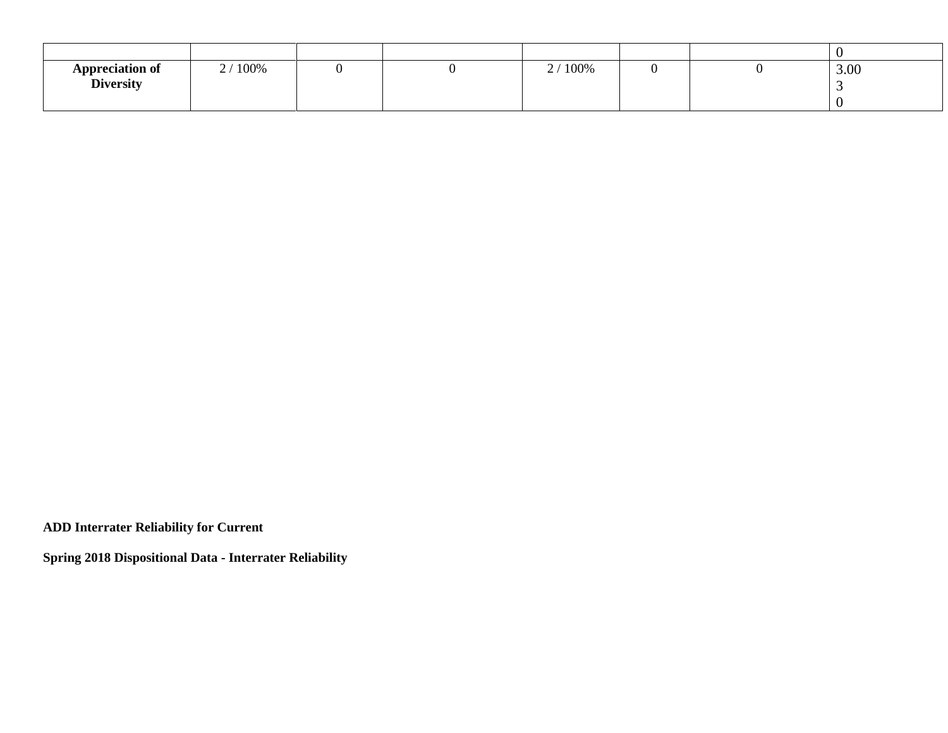| <b>Appreciation of</b><br><b>Diversity</b> | $'100\%$<br>$\sim$ 1 |  | 2 / 100% |  | 3.00 |
|--------------------------------------------|----------------------|--|----------|--|------|

**ADD Interrater Reliability for Current**

**Spring 2018 Dispositional Data - Interrater Reliability**